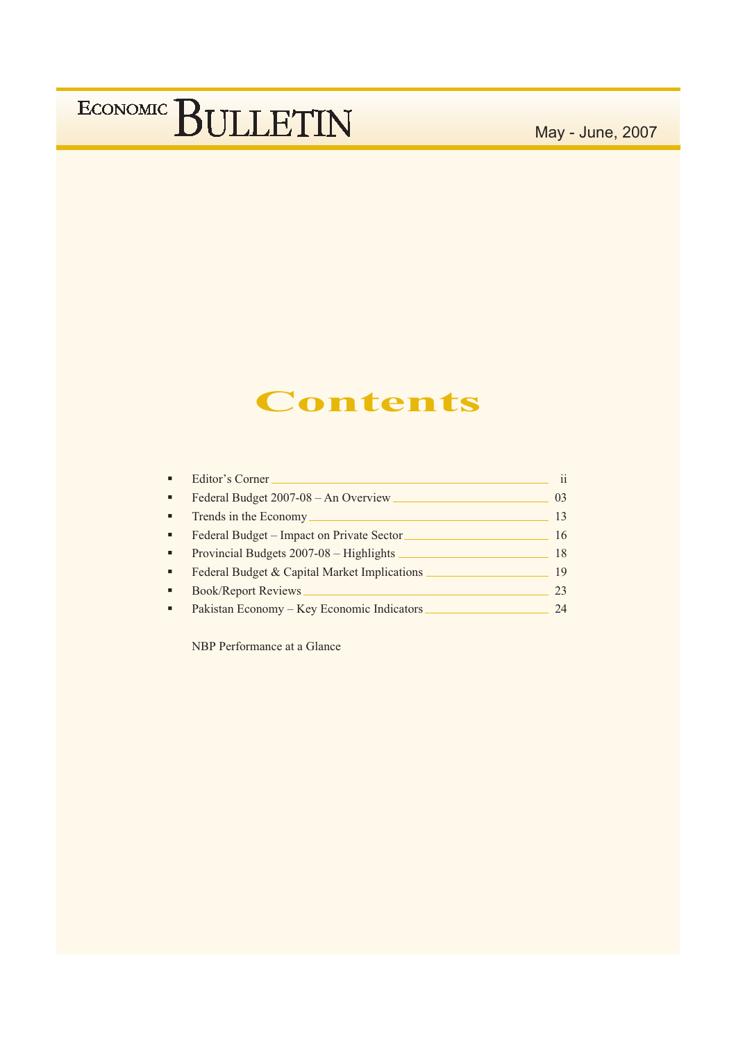May - June, 2007

## **Contents**

|                | Editor's Corner                              | $\mathbf{ii}$ |
|----------------|----------------------------------------------|---------------|
| ٠              | Federal Budget 2007-08 - An Overview         | 03            |
| $\blacksquare$ | Trends in the Economy                        | 13            |
| ٠              | Federal Budget – Impact on Private Sector    | 16            |
| ٠              | Provincial Budgets 2007-08 – Highlights      | 18            |
| $\blacksquare$ | Federal Budget & Capital Market Implications | 19            |
|                | <b>Book/Report Reviews</b>                   | 23            |
|                | Pakistan Economy – Key Economic Indicators   | 24            |

NBP Performance at a Glance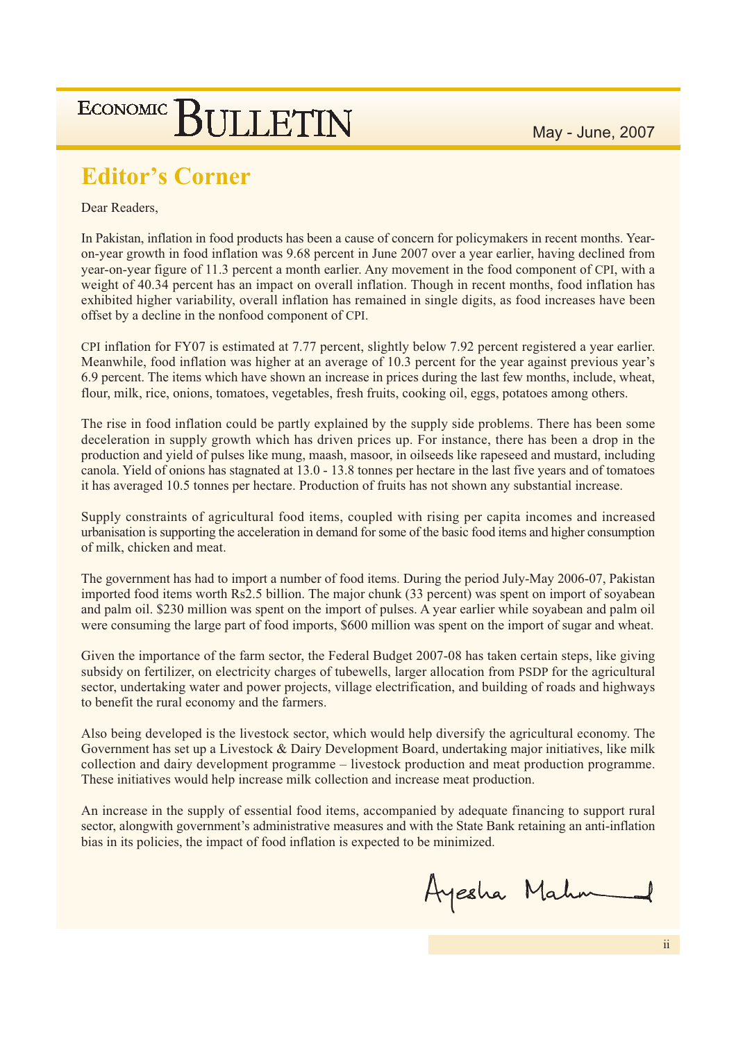May - June, 2007

# ECONOMIC BULLETIN

## **Editor's Corner**

### Dear Readers.

In Pakistan, inflation in food products has been a cause of concern for policymakers in recent months. Yearon-year growth in food inflation was 9.68 percent in June 2007 over a year earlier, having declined from year-on-year figure of 11.3 percent a month earlier. Any movement in the food component of CPI, with a weight of 40.34 percent has an impact on overall inflation. Though in recent months, food inflation has exhibited higher variability, overall inflation has remained in single digits, as food increases have been offset by a decline in the nonfood component of CPI.

CPI inflation for FY07 is estimated at 7.77 percent, slightly below 7.92 percent registered a year earlier. Meanwhile, food inflation was higher at an average of 10.3 percent for the year against previous year's 6.9 percent. The items which have shown an increase in prices during the last few months, include, wheat, flour, milk, rice, onions, tomatoes, vegetables, fresh fruits, cooking oil, eggs, potatoes among others.

The rise in food inflation could be partly explained by the supply side problems. There has been some deceleration in supply growth which has driven prices up. For instance, there has been a drop in the production and yield of pulses like mung, maash, masoor, in oilseeds like rapeseed and mustard, including canola. Yield of onions has stagnated at 13.0 - 13.8 tonnes per hectare in the last five years and of tomatoes it has averaged 10.5 tonnes per hectare. Production of fruits has not shown any substantial increase.

Supply constraints of agricultural food items, coupled with rising per capita incomes and increased urbanisation is supporting the acceleration in demand for some of the basic food items and higher consumption of milk, chicken and meat.

The government has had to import a number of food items. During the period July-May 2006-07, Pakistan imported food items worth Rs2.5 billion. The major chunk (33 percent) was spent on import of sovabean and palm oil. \$230 million was spent on the import of pulses. A year earlier while soyabean and palm oil were consuming the large part of food imports, \$600 million was spent on the import of sugar and wheat.

Given the importance of the farm sector, the Federal Budget 2007-08 has taken certain steps, like giving subsidy on fertilizer, on electricity charges of tubewells, larger allocation from PSDP for the agricultural sector, undertaking water and power projects, village electrification, and building of roads and highways to benefit the rural economy and the farmers.

Also being developed is the livestock sector, which would help diversify the agricultural economy. The Government has set up a Livestock & Dairy Development Board, undertaking major initiatives, like milk collection and dairy development programme – livestock production and meat production programme. These initiatives would help increase milk collection and increase meat production.

An increase in the supply of essential food items, accompanied by adequate financing to support rural sector, alongwith government's administrative measures and with the State Bank retaining an anti-inflation bias in its policies, the impact of food inflation is expected to be minimized.

Ayesha Mahn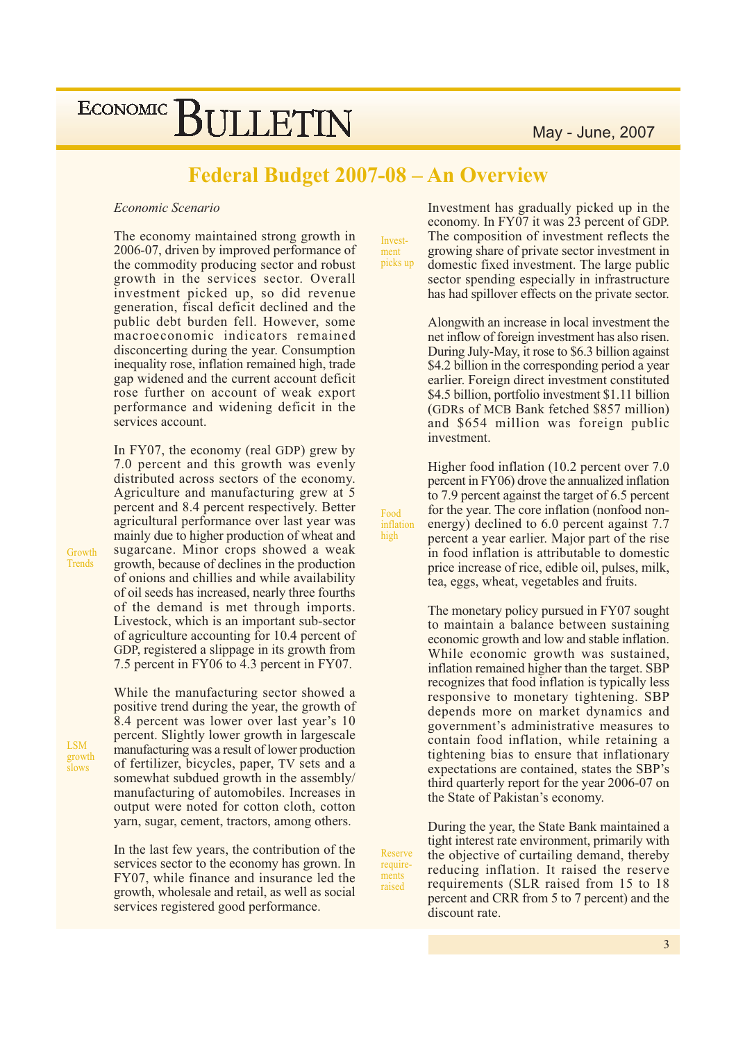## Federal Budget 2007-08 - An Overview

Food

high

inflation

Reserve

require-

ments

raised

#### Economic Scenario

The economy maintained strong growth in 2006-07, driven by improved performance of the commodity producing sector and robust growth in the services sector. Overall investment picked up, so did revenue generation, fiscal deficit declined and the public debt burden fell. However, some macroeconomic indicators remained disconcerting during the year. Consumption inequality rose, inflation remained high, trade gap widened and the current account deficit rose further on account of weak export performance and widening deficit in the services account.

In FY07, the economy (real GDP) grew by 7.0 percent and this growth was evenly distributed across sectors of the economy. Agriculture and manufacturing grew at 5 percent and 8.4 percent respectively. Better agricultural performance over last year was mainly due to higher production of wheat and sugarcane. Minor crops showed a weak growth, because of declines in the production of onions and chillies and while availability of oil seeds has increased, nearly three fourths of the demand is met through imports. Livestock, which is an important sub-sector of agriculture accounting for 10.4 percent of GDP, registered a slippage in its growth from 7.5 percent in FY06 to 4.3 percent in FY07.

While the manufacturing sector showed a positive trend during the year, the growth of 8.4 percent was lower over last year's 10 percent. Slightly lower growth in largescale manufacturing was a result of lower production of fertilizer, bicycles, paper, TV sets and a somewhat subdued growth in the assembly/ manufacturing of automobiles. Increases in output were noted for cotton cloth, cotton yarn, sugar, cement, tractors, among others.

In the last few years, the contribution of the services sector to the economy has grown. In FY07, while finance and insurance led the growth, wholesale and retail, as well as social services registered good performance.

Investment picks up

Investment has gradually picked up in the economy. In FY07 it was 23 percent of GDP. The composition of investment reflects the growing share of private sector investment in domestic fixed investment. The large public sector spending especially in infrastructure has had spillover effects on the private sector.

Alongwith an increase in local investment the net inflow of foreign investment has also risen. During July-May, it rose to \$6.3 billion against \$4.2 billion in the corresponding period a year earlier. Foreign direct investment constituted \$4.5 billion, portfolio investment \$1.11 billion (GDRs of MCB Bank fetched \$857 million) and \$654 million was foreign public investment.

Higher food inflation (10.2 percent over 7.0) percent in FY06) drove the annualized inflation to 7.9 percent against the target of 6.5 percent for the year. The core inflation (nonfood nonenergy) declined to 6.0 percent against 7.7 percent a year earlier. Major part of the rise in food inflation is attributable to domestic price increase of rice, edible oil, pulses, milk, tea, eggs, wheat, vegetables and fruits.

The monetary policy pursued in FY07 sought to maintain a balance between sustaining economic growth and low and stable inflation. While economic growth was sustained, inflation remained higher than the target. SBP recognizes that food inflation is typically less responsive to monetary tightening. SBP depends more on market dynamics and government's administrative measures to contain food inflation, while retaining a tightening bias to ensure that inflationary expectations are contained, states the SBP's third quarterly report for the year 2006-07 on the State of Pakistan's economy.

During the year, the State Bank maintained a tight interest rate environment, primarily with the objective of curtailing demand, thereby reducing inflation. It raised the reserve requirements (SLR raised from 15 to 18) percent and CRR from 5 to 7 percent) and the discount rate.

Growth Trends

**LSM** growth  $\frac{8}{10}$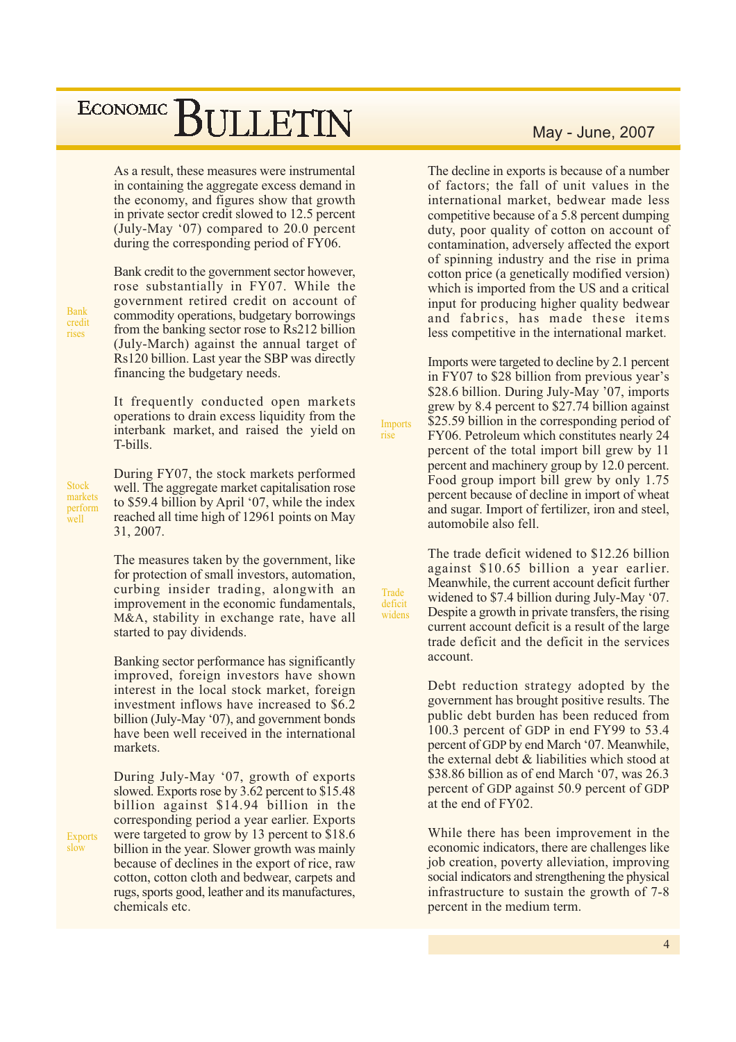As a result, these measures were instrumental in containing the aggregate excess demand in the economy, and figures show that growth in private sector credit slowed to 12.5 percent (July-May '07) compared to 20.0 percent during the corresponding period of FY06.

Bank credit to the government sector however, rose substantially in FY07. While the government retired credit on account of commodity operations, budgetary borrowings from the banking sector rose to Rs212 billion (July-March) against the annual target of Rs120 billion. Last year the SBP was directly financing the budgetary needs.

It frequently conducted open markets operations to drain excess liquidity from the interbank market, and raised the yield on T-bills.

During FY07, the stock markets performed well. The aggregate market capitalisation rose to \$59.4 billion by April '07, while the index reached all time high of 12961 points on May 31, 2007.

The measures taken by the government, like for protection of small investors, automation, curbing insider trading, alongwith an improvement in the economic fundamentals, M&A, stability in exchange rate, have all started to pay dividends.

Banking sector performance has significantly improved, foreign investors have shown interest in the local stock market, foreign investment inflows have increased to \$6.2 billion (July-May '07), and government bonds have been well received in the international markets.

During July-May '07, growth of exports slowed. Exports rose by 3.62 percent to \$15.48 billion against \$14.94 billion in the corresponding period a year earlier. Exports were targeted to grow by 13 percent to  $$18.6$ billion in the year. Slower growth was mainly because of declines in the export of rice, raw cotton, cotton cloth and bedwear, carpets and rugs, sports good, leather and its manufactures, chemicals etc.

### May - June, 2007

The decline in exports is because of a number of factors; the fall of unit values in the international market, bedwear made less competitive because of a 5.8 percent dumping duty, poor quality of cotton on account of contamination, adversely affected the export of spinning industry and the rise in prima cotton price (a genetically modified version) which is imported from the US and a critical input for producing higher quality bedwear and fabrics, has made these items less competitive in the international market.

Imports were targeted to decline by 2.1 percent in FY07 to \$28 billion from previous year's \$28.6 billion. During July-May '07, imports grew by 8.4 percent to \$27.74 billion against \$25.59 billion in the corresponding period of FY06. Petroleum which constitutes nearly 24 percent of the total import bill grew by 11 percent and machinery group by 12.0 percent. Food group import bill grew by only 1.75 percent because of decline in import of wheat and sugar. Import of fertilizer, iron and steel, automobile also fell.

**Imports** 

**Trade** 

deficit

widens

rise

The trade deficit widened to \$12.26 billion against \$10.65 billion a year earlier. Meanwhile, the current account deficit further widened to \$7.4 billion during July-May '07. Despite a growth in private transfers, the rising current account deficit is a result of the large trade deficit and the deficit in the services account

Debt reduction strategy adopted by the government has brought positive results. The public debt burden has been reduced from 100.3 percent of GDP in end FY99 to 53.4 percent of GDP by end March '07. Meanwhile, the external debt & liabilities which stood at \$38.86 billion as of end March '07, was 26.3 percent of GDP against 50.9 percent of GDP at the end of FY02.

While there has been improvement in the economic indicators, there are challenges like job creation, poverty alleviation, improving social indicators and strengthening the physical infrastructure to sustain the growth of 7-8 percent in the medium term.

**Rank** credit rises

**Stock** markets perform well

 $\overline{4}$ 

Exports  $s\sim$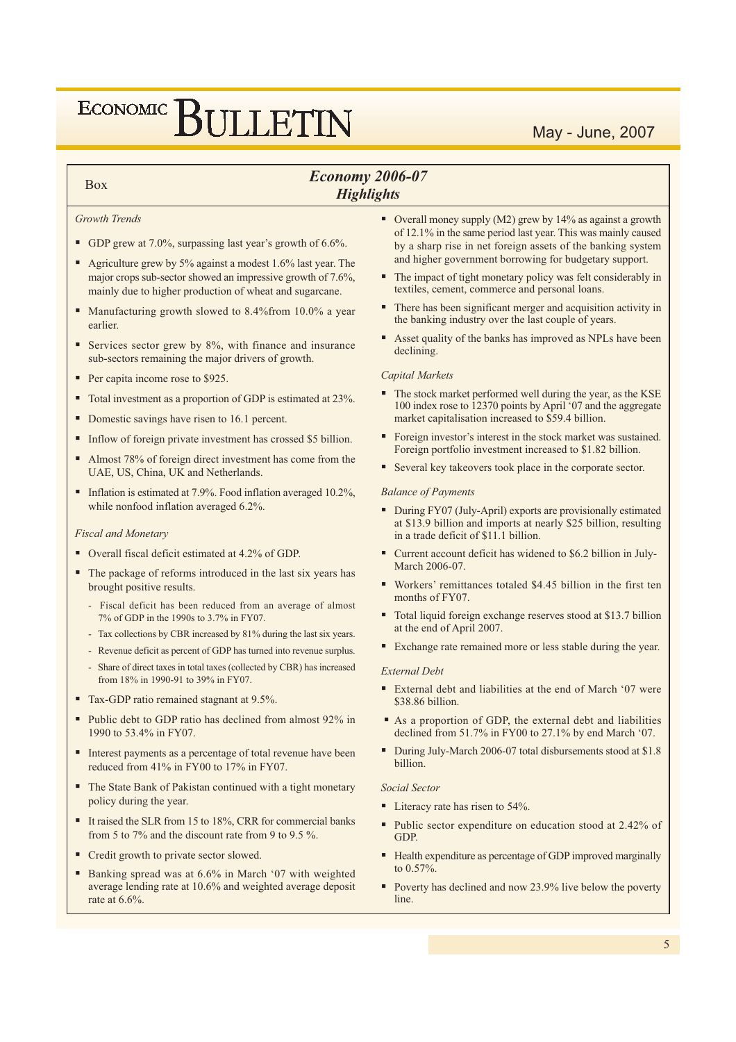## May - June, 2007

## **Economy 2006-07 Highlights**

#### Growth Trends

**Box** 

- GDP grew at 7.0%, surpassing last year's growth of  $6.6\%$ .
- Agriculture grew by 5% against a modest 1.6% last year. The major crops sub-sector showed an impressive growth of 7.6%, mainly due to higher production of wheat and sugarcane.
- Manufacturing growth slowed to  $8.4\%$  from 10.0% a year earlier
- Services sector grew by 8%, with finance and insurance sub-sectors remaining the major drivers of growth.
- Per capita income rose to \$925.
- Total investment as a proportion of GDP is estimated at 23%.
- Domestic savings have risen to 16.1 percent.
- Inflow of foreign private investment has crossed \$5 billion.
- Almost 78% of foreign direct investment has come from the UAE, US, China, UK and Netherlands.
- Inflation is estimated at 7.9%. Food inflation averaged 10.2%, while nonfood inflation averaged 6.2%.

#### **Fiscal and Monetary**

- Overall fiscal deficit estimated at 4.2% of GDP.
- The package of reforms introduced in the last six years has brought positive results.
	- Fiscal deficit has been reduced from an average of almost 7% of GDP in the 1990s to 3.7% in FY07.
	- Tax collections by CBR increased by 81% during the last six years.
	- Revenue deficit as percent of GDP has turned into revenue surplus.
	- Share of direct taxes in total taxes (collected by CBR) has increased from 18% in 1990-91 to 39% in FY07.
- Tax-GDP ratio remained stagnant at 9.5%.
- Public debt to GDP ratio has declined from almost 92% in 1990 to 53.4% in FY07.
- Interest payments as a percentage of total revenue have been reduced from 41% in FY00 to 17% in FY07.
- The State Bank of Pakistan continued with a tight monetary policy during the year.
- It raised the SLR from 15 to 18%, CRR for commercial banks from 5 to 7% and the discount rate from 9 to 9.5 %.
- Credit growth to private sector slowed.
- Banking spread was at 6.6% in March '07 with weighted average lending rate at 10.6% and weighted average deposit rate at  $6.6\%$
- Overall money supply (M2) grew by 14% as against a growth of 12.1% in the same period last year. This was mainly caused by a sharp rise in net foreign assets of the banking system and higher government borrowing for budgetary support.
- ٠ The impact of tight monetary policy was felt considerably in textiles, cement, commerce and personal loans.
- There has been significant merger and acquisition activity in ٠ the banking industry over the last couple of years.
- Asset quality of the banks has improved as NPLs have been declining.

#### **Capital Markets**

- The stock market performed well during the year, as the KSE 100 index rose to 12370 points by April '07 and the aggregate market capitalisation increased to \$59.4 billion.
- Foreign investor's interest in the stock market was sustained. Foreign portfolio investment increased to \$1.82 billion.
- Several key takeovers took place in the corporate sector.

#### **Balance of Payments**

- During FY07 (July-April) exports are provisionally estimated at \$13.9 billion and imports at nearly \$25 billion, resulting in a trade deficit of \$11.1 billion.
- Current account deficit has widened to \$6.2 billion in July-March 2006-07
- Workers' remittances totaled \$4.45 billion in the first ten months of FY07.
- Total liquid foreign exchange reserves stood at \$13.7 billion at the end of April 2007.
- Exchange rate remained more or less stable during the year.

#### **External Debt**

- External debt and liabilities at the end of March '07 were \$38.86 billion.
- As a proportion of GDP, the external debt and liabilities declined from  $51.7\%$  in FY00 to 27.1% by end March '07.
- During July-March 2006-07 total disbursements stood at \$1.8 billion.

#### **Social Sector**

- Literacy rate has risen to 54%.
- Public sector expenditure on education stood at 2.42% of GDP.
- Health expenditure as percentage of GDP improved marginally to 0.57%.
- Poverty has declined and now 23.9% live below the poverty line.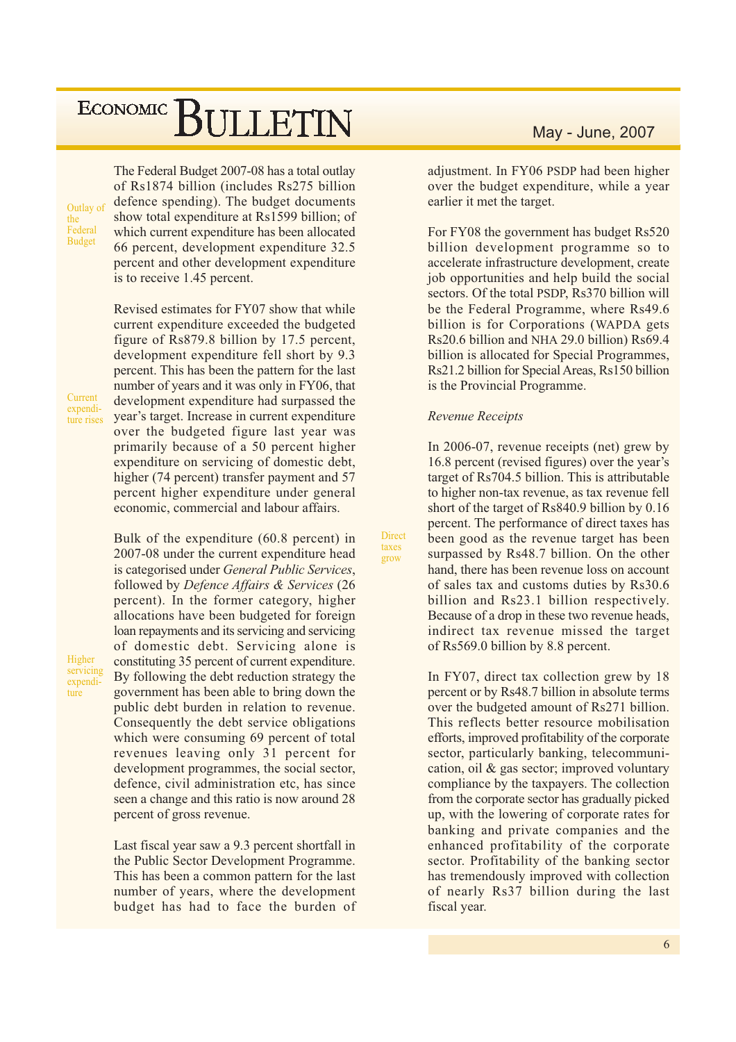Outlay of the Federal **Budget** 

The Federal Budget 2007-08 has a total outlay of Rs1874 billion (includes Rs275 billion defence spending). The budget documents show total expenditure at Rs1599 billion; of which current expenditure has been allocated 66 percent, development expenditure 32.5 percent and other development expenditure is to receive 1.45 percent.

Revised estimates for FY07 show that while current expenditure exceeded the budgeted figure of Rs879.8 billion by 17.5 percent, development expenditure fell short by 9.3 percent. This has been the pattern for the last number of years and it was only in FY06, that development expenditure had surpassed the vear's target. Increase in current expenditure over the budgeted figure last year was primarily because of a 50 percent higher expenditure on servicing of domestic debt, higher (74 percent) transfer payment and 57 percent higher expenditure under general economic, commercial and labour affairs.

Bulk of the expenditure (60.8 percent) in 2007-08 under the current expenditure head is categorised under General Public Services, followed by Defence Affairs & Services (26 percent). In the former category, higher allocations have been budgeted for foreign loan repayments and its servicing and servicing of domestic debt. Servicing alone is constituting 35 percent of current expenditure. By following the debt reduction strategy the government has been able to bring down the public debt burden in relation to revenue. Consequently the debt service obligations which were consuming 69 percent of total revenues leaving only 31 percent for development programmes, the social sector, defence, civil administration etc, has since seen a change and this ratio is now around 28 percent of gross revenue.

Last fiscal year saw a 9.3 percent shortfall in the Public Sector Development Programme. This has been a common pattern for the last number of years, where the development budget has had to face the burden of

## May - June, 2007

adjustment. In FY06 PSDP had been higher over the budget expenditure, while a year earlier it met the target.

For FY08 the government has budget Rs520 billion development programme so to accelerate infrastructure development, create job opportunities and help build the social sectors. Of the total PSDP, Rs370 billion will be the Federal Programme, where Rs49.6 billion is for Corporations (WAPDA gets Rs20.6 billion and NHA 29.0 billion) Rs69.4 billion is allocated for Special Programmes, Rs21.2 billion for Special Areas, Rs150 billion is the Provincial Programme.

#### **Revenue Receipts**

Direct

faves

grow

In 2006-07, revenue receipts (net) grew by 16.8 percent (revised figures) over the year's target of Rs704.5 billion. This is attributable to higher non-tax revenue, as tax revenue fell short of the target of Rs840.9 billion by 0.16 percent. The performance of direct taxes has been good as the revenue target has been surpassed by Rs48.7 billion. On the other hand, there has been revenue loss on account of sales tax and customs duties by Rs30.6 billion and Rs23.1 billion respectively. Because of a drop in these two revenue heads, indirect tax revenue missed the target of Rs569.0 billion by 8.8 percent.

In FY07, direct tax collection grew by 18 percent or by Rs48.7 billion in absolute terms over the budgeted amount of Rs271 billion. This reflects better resource mobilisation efforts, improved profitability of the corporate sector, particularly banking, telecommunication, oil & gas sector; improved voluntary compliance by the taxpayers. The collection from the corporate sector has gradually picked up, with the lowering of corporate rates for banking and private companies and the enhanced profitability of the corporate sector. Profitability of the banking sector has tremendously improved with collection of nearly Rs37 billion during the last fiscal year.

Current expenditure rises

Higher servicing expenditure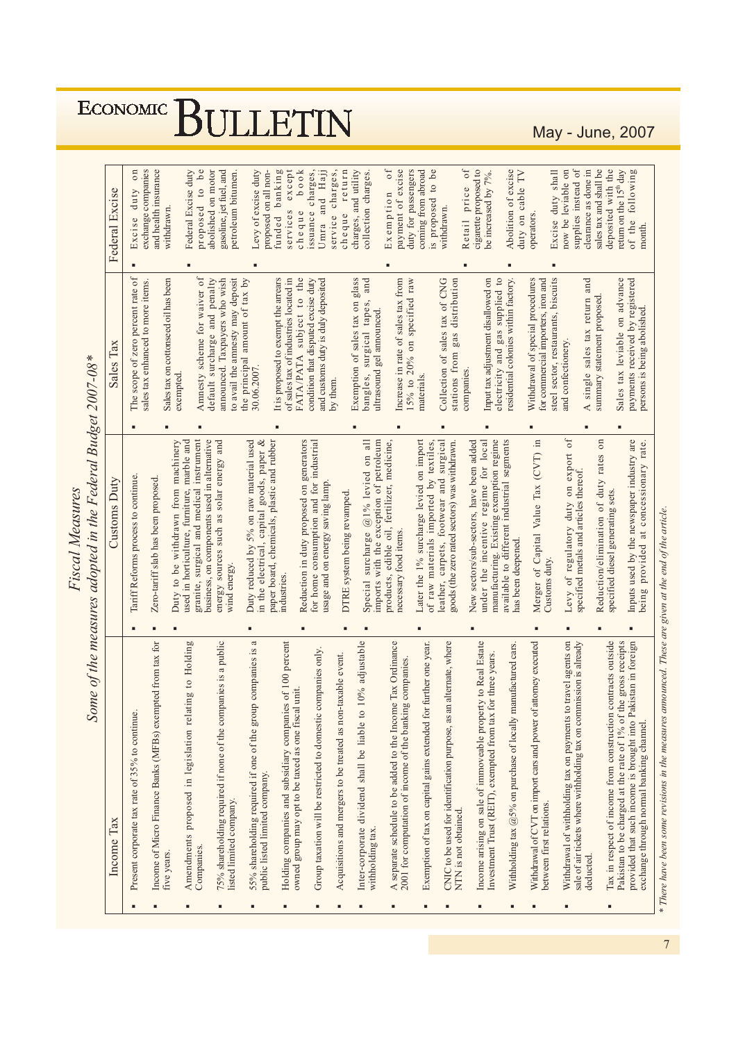$0f$ Federal Excise duty<br>proposed to be Excise duty shall<br>now be leviable on supplies instead of Excise duty on unded banking  $b \circ \circ k$ cheque return payment of excise coming from abroad cigarette proposed to Abolition of excise<br>duty on cable TV clearance as done in sales tax and shall be eturn on the 15<sup>th</sup> day of the following<br>month. exchange companies and health insurance abolished on motor zasoline, jet fuel, and Levy of excise duty proposed on all nonservices except ssuance charges, Jmra and Hajj service charges, charges, and utility  $Ex$ emption of duty for passengers s proposed to be be increased by 7%. deposited with the petroleum bitumen. collection charges. Retail price 'ederal Excise cheque withdrawn. vithdrawn. operators. i. ä Sales tax leviable on advance<br>payments received by registered<br>persons is being abolished. The scope of zero percent rate of Amnesty scheme for waiver of default surcharge and penalty announced. Taxpayers who wish the principal amount of tax by<br>30.06.2007. It is proposed to exempt the arrears of sales tax of industries located in FATA/PATA subject to the Exemption of sales tax on glass<br>hangles. surgical tapes, and Increase in rate of sales tax from 15% to 20% on specified raw Collection of sales tax of CNG Input tax adjustment disallowed on electricity and gas supplied to residential colonies within factory. steel sector, restaurants, biscuits A single sales tax return and Sales tax on cottonseed oil has been to avail the annesty may deposit condition that disputed excise duty and customs duty is duly deposited stations from gas distribution Withdrawal of special procedures for commercial importers, iron and sales tax enhanced to more items. summary statement proposed. ultrasound gel announced. and confectionery. Sales Tax Some of the measures adopted in the Federal Budget 2007-08\* companies. exempted. materials. by them. i. manufacturing. Existing exemption regime<br>available to different industrial segments Merger of Capital Value Tax (CVT) in  $of$ Duty reduced by 5% on raw material used paper board, chemicals, plastic and rubber<br>industries. imports with the exception of petroleum<br>products, edible oil, fertilizer, medicine, Duty to be withdrawn from machinery<br>used in horticulture, furniture, marble and Reduction/elimination of duty rates on Inputs used by the newspaper industry are<br>being provided at concessionary rate. granite, surgical and medical instrument pusiness, on components used in alternative energy sources such as solar energy and in the electrical, capital goods, paper & Reduction in duty proposed on generators<br>for home consumption and for industrial Special surcharge @1% levied on all Later the 1% surcharge levied on import leather, carpets, footwear and surgical New sectors/sub-sectors, have been added under the incentive regime for local of raw materials imported by textiles, coods (the zero rated sectors) was withdrawn. Levy of regulatory duty on export<br>specified metals and articles thereof. Tariff Reforms process to continue. Zero-tariff slab has been proposed. **Customs Duty** usage and on energy saving lamp DTRE system being revamped. specified diesel generating sets. necessary food items. has been deepened. Customs duty. wind energy. ä, ä l, ä 55% shareholding required if one of the group companies is a Inter-corporate dividend shall be liable to 10% adjustable Income arising on sale of immoveable property to Real Estate Pakistan to be charged at the rate of 1% of the gross receipts<br>provided that such income is brought into Pakistan in foreign Income of Micro Finance Banks (MFBs) exempted from tax for Amendments proposed in legislation relating to Holding Withdrawal of CVT on import cars and power of attorney executed Withdrawal of withholding tax on payments to travel agents on<br>sale of air tickets where withholding tax on commission is already 75% shareholding required if none of the companies is a public A separate schedule to be added to the Income Tax Ordinance CNIC to be used for identification purpose, as an alternate, where Tax in respect of income from construction contracts outside Holding companies and subsidiary companies of 100 percent Exemption of tax on capital gains extended for further one year. Withholding tax  $@5\%$  on purchase of locally manufactured cars Group taxation will be restricted to domestic companies only. Investment Trust (REIT), exempted from tax for three years. Acquisitions and mergers to be treated as non-taxable event. 2001 for computation of income of the banking companies. owned group may opt to be taxed as one fiscal unit. Present corporate tax rate of 35% to continue. exchange through normal banking channel. public listed limited company. listed limited company. between first relations. NTN is not obtained.  $n$  come  $Tax$ withholding tax. Companies. five years. deducted. J. Î. i.

**ECONOMIC** 

Fiscal Measures

BULLETIN

May - June, 2007

\* There have been some revisions in the measures announced. These are given at the end of the article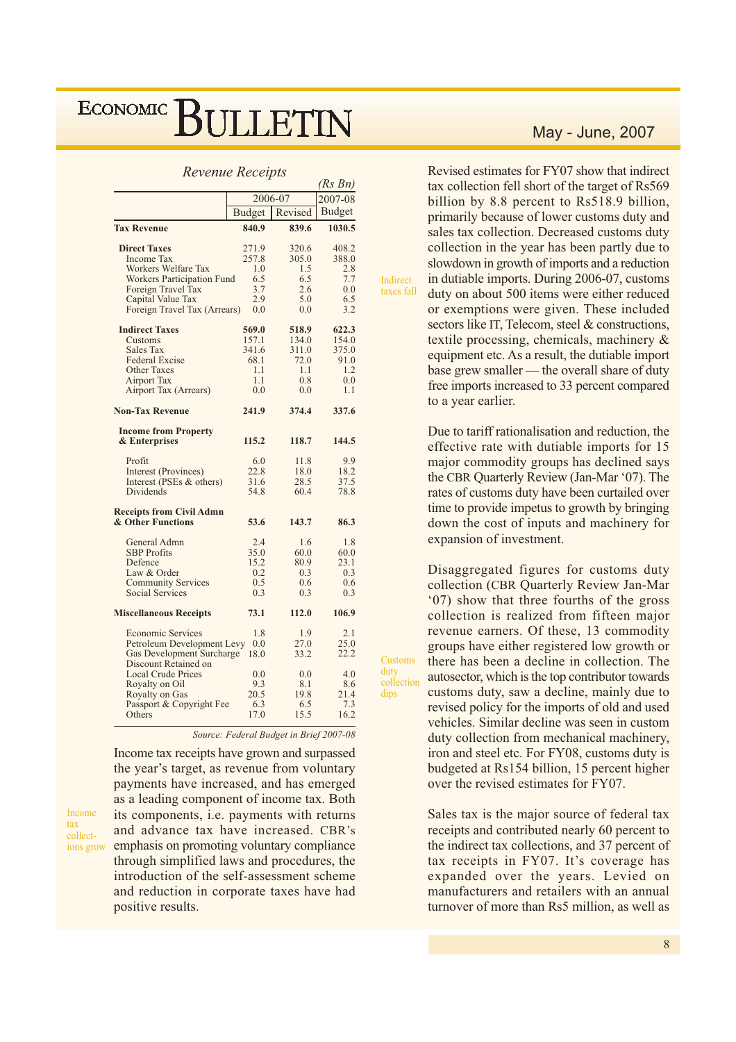#### **Revenue Receipts**

|                                  |               |         | (KS Bn)       |
|----------------------------------|---------------|---------|---------------|
|                                  |               | 2006-07 |               |
|                                  | <b>Budget</b> | Revised | <b>Budget</b> |
| <b>Tax Revenue</b>               | 840.9         | 839.6   | 1030.5        |
| <b>Direct Taxes</b>              | 271.9         | 320.6   | 408.2         |
| <b>Income Tax</b>                | 257.8         | 305.0   | 388.0         |
| Workers Welfare Tax              | 1.0           | 1.5     | 2.8           |
| Workers Participation Fund       | 6.5           | 6.5     | 7.7           |
| Foreign Travel Tax               | 3.7           | 2.6     | 0.0           |
| Capital Value Tax                | 2.9           | 5.0     | 6.5           |
| Foreign Travel Tax (Arrears)     | 0.0           | 0.0     | 3.2           |
| <b>Indirect Taxes</b>            | 569.0         | 518.9   | 622.3         |
| Customs                          | 157.1         | 134.0   | 154.0         |
| Sales Tax                        | 341.6         | 311.0   | 375.0         |
| <b>Federal Excise</b>            | 68.1          | 72.0    | 91.0          |
| <b>Other Taxes</b>               | 1.1           | 1.1     | 1.2           |
| <b>Airport Tax</b>               | 1.1           | 0.8     | 0.0           |
| Airport Tax (Arrears)            | 0.0           | 0.0     | 1.1           |
| <b>Non-Tax Revenue</b>           | 241.9         | 374.4   | 337.6         |
| <b>Income from Property</b>      |               |         |               |
| & Enterprises                    | 115.2         | 118.7   | 144.5         |
| Profit                           | 6.0           | 11.8    | 9.9           |
| Interest (Provinces)             | 22.8          | 18.0    | 18.2          |
| Interest (PSEs & others)         | 31.6          | 28.5    | 37.5          |
| <b>Dividends</b>                 | 54.8          | 60.4    | 78.8          |
| <b>Receipts from Civil Admn</b>  |               |         |               |
| & Other Functions                | 53.6          | 143.7   | 86.3          |
| General Admn                     | 2.4           | 1.6     | 1.8           |
| <b>SBP</b> Profits               | 35.0          | 60.0    | 60.0          |
| Defence                          | 15.2          | 80.9    | 23.1          |
| Law & Order                      | 0.2           | 0.3     | 0.3           |
| <b>Community Services</b>        | 0.5           | 0.6     | 0.6           |
| <b>Social Services</b>           | 0.3           | 0.3     | 0.3           |
| <b>Miscellaneous Receipts</b>    | 73.1          | 112.0   | 106.9         |
| <b>Economic Services</b>         | 1.8           | 1.9     | 2.1           |
| Petroleum Development Levy       | 0.0           | 27.0    | 25.0          |
| <b>Gas Development Surcharge</b> | 18.0          | 33.2    | 22.2          |
| Discount Retained on             |               |         |               |
| <b>Local Crude Prices</b>        | 0.0           | 0.0     | 4.0           |
| Royalty on Oil                   | 9.3           | 8.1     | 8.6           |
| Royalty on Gas                   | 20.5          | 19.8    | 21.4          |
| Passport & Copyright Fee         | 6.3           | 6.5     | 7.3           |
| Others                           | 17.0          | 15.5    | 16.2          |

Source: Federal Budget in Brief 2007-08

Income tax receipts have grown and surpassed the year's target, as revenue from voluntary payments have increased, and has emerged as a leading component of income tax. Both its components, i.e. payments with returns and advance tax have increased. CBR's emphasis on promoting voluntary compliance ions grow through simplified laws and procedures, the introduction of the self-assessment scheme and reduction in corporate taxes have had positive results.

Income

collect-

tax

### May - June, 2007

Revised estimates for FY07 show that indirect tax collection fell short of the target of Rs569 billion by 8.8 percent to Rs518.9 billion, primarily because of lower customs duty and sales tax collection. Decreased customs duty collection in the year has been partly due to slowdown in growth of imports and a reduction in dutiable imports. During 2006-07, customs duty on about 500 items were either reduced or exemptions were given. These included sectors like IT, Telecom, steel & constructions, textile processing, chemicals, machinery  $\&$ equipment etc. As a result, the dutiable import base grew smaller — the overall share of duty free imports increased to 33 percent compared to a year earlier.

Indirect taxes fall

Customs

collection

duty

dips

Due to tariff rationalisation and reduction, the effective rate with dutiable imports for 15 major commodity groups has declined says the CBR Quarterly Review (Jan-Mar '07). The rates of customs duty have been curtailed over time to provide impetus to growth by bringing down the cost of inputs and machinery for expansion of investment.

Disaggregated figures for customs duty collection (CBR Quarterly Review Jan-Mar '07) show that three fourths of the gross collection is realized from fifteen major revenue earners. Of these, 13 commodity groups have either registered low growth or there has been a decline in collection. The autosector, which is the top contributor towards customs duty, saw a decline, mainly due to revised policy for the imports of old and used vehicles. Similar decline was seen in custom duty collection from mechanical machinery, iron and steel etc. For FY08, customs duty is budgeted at Rs154 billion, 15 percent higher over the revised estimates for FY07.

Sales tax is the major source of federal tax receipts and contributed nearly 60 percent to the indirect tax collections, and 37 percent of tax receipts in FY07. It's coverage has expanded over the years. Levied on manufacturers and retailers with an annual turnover of more than Rs5 million, as well as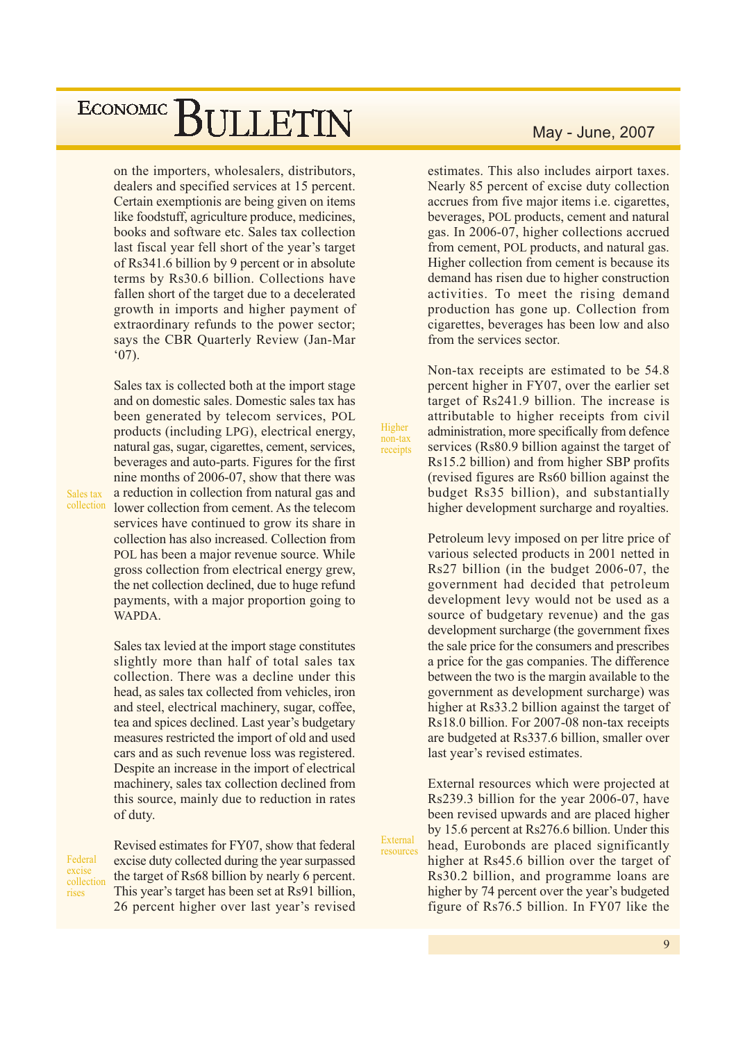on the importers, wholesalers, distributors, dealers and specified services at 15 percent. Certain exemptionis are being given on items like foodstuff, agriculture produce, medicines, books and software etc. Sales tax collection last fiscal year fell short of the year's target of Rs341.6 billion by 9 percent or in absolute terms by Rs30.6 billion. Collections have fallen short of the target due to a decelerated growth in imports and higher payment of extraordinary refunds to the power sector; says the CBR Quarterly Review (Jan-Mar  $(07)$ .

Sales tax is collected both at the import stage and on domestic sales. Domestic sales tax has been generated by telecom services. POL products (including LPG), electrical energy, natural gas, sugar, cigarettes, cement, services, beverages and auto-parts. Figures for the first nine months of 2006-07, show that there was a reduction in collection from natural gas and lower collection from cement. As the telecom services have continued to grow its share in collection has also increased. Collection from POL has been a major revenue source. While gross collection from electrical energy grew. the net collection declined, due to huge refund payments, with a major proportion going to WAPDA.

Sales tax levied at the import stage constitutes slightly more than half of total sales tax collection. There was a decline under this head, as sales tax collected from vehicles, iron and steel, electrical machinery, sugar, coffee, tea and spices declined. Last year's budgetary measures restricted the import of old and used cars and as such revenue loss was registered. Despite an increase in the import of electrical machinery, sales tax collection declined from this source, mainly due to reduction in rates of duty.

Federal excise collection rises

Sales tax collection

> Revised estimates for FY07, show that federal excise duty collected during the year surpassed the target of Rs68 billion by nearly 6 percent. This year's target has been set at Rs91 billion, 26 percent higher over last year's revised

May - June, 2007

estimates. This also includes airport taxes. Nearly 85 percent of excise duty collection accrues from five major items *i.e.* cigarettes, beverages, POL products, cement and natural gas. In 2006-07, higher collections accrued from cement, POL products, and natural gas. Higher collection from cement is because its demand has risen due to higher construction activities. To meet the rising demand production has gone up. Collection from cigarettes, beverages has been low and also from the services sector.

Non-tax receipts are estimated to be 54.8 percent higher in FY07, over the earlier set target of Rs241.9 billion. The increase is attributable to higher receipts from civil administration, more specifically from defence services (Rs80.9 billion against the target of Rs15.2 billion) and from higher SBP profits (revised figures are Rs60 billion against the budget Rs35 billion), and substantially higher development surcharge and royalties.

Higher

non-tax

receipts

External

resources

Petroleum levy imposed on per litre price of various selected products in 2001 netted in Rs27 billion (in the budget 2006-07, the government had decided that petroleum development levy would not be used as a source of budgetary revenue) and the gas development surcharge (the government fixes) the sale price for the consumers and prescribes a price for the gas companies. The difference between the two is the margin available to the government as development surcharge) was higher at Rs33.2 billion against the target of Rs18.0 billion. For 2007-08 non-tax receipts are budgeted at Rs337.6 billion, smaller over last year's revised estimates.

External resources which were projected at Rs239.3 billion for the year 2006-07, have been revised upwards and are placed higher by 15.6 percent at Rs276.6 billion. Under this head, Eurobonds are placed significantly higher at Rs45.6 billion over the target of Rs30.2 billion, and programme loans are higher by 74 percent over the year's budgeted figure of Rs76.5 billion. In FY07 like the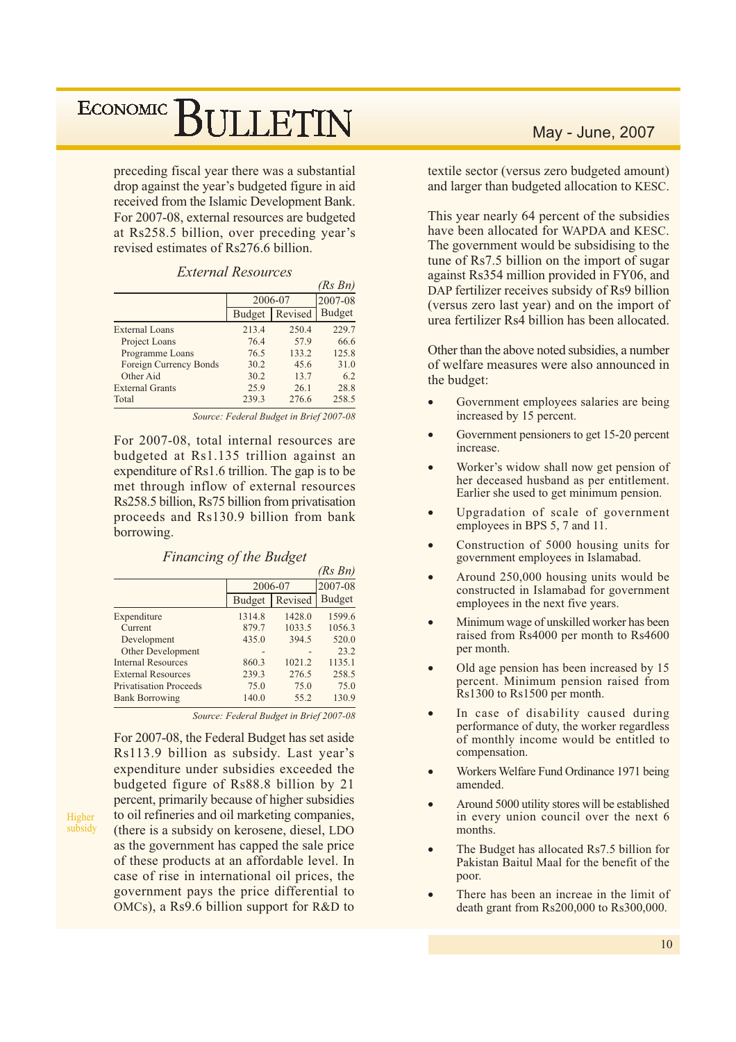preceding fiscal year there was a substantial drop against the year's budgeted figure in aid received from the Islamic Development Bank. For 2007-08, external resources are budgeted at Rs258.5 billion, over preceding year's revised estimates of Rs276.6 billion.

|                               |               |         | (Rs Bn)       |
|-------------------------------|---------------|---------|---------------|
|                               | 2006-07       |         | 2007-08       |
|                               | <b>Budget</b> | Revised | <b>Budget</b> |
| External Loans                | 213.4         | 250.4   | 229.7         |
| Project Loans                 | 76.4          | 57.9    | 66.6          |
| Programme Loans               | 76.5          | 133.2   | 125.8         |
| <b>Foreign Currency Bonds</b> | 30.2          | 45.6    | 31.0          |
| Other Aid                     | 30.2          | 13.7    | 6.2           |
| <b>External Grants</b>        | 25.9          | 26.1    | 28.8          |
| Total                         | 239.3         | 276.6   | 258.5         |

Source: Federal Budget in Brief 2007-08

For 2007-08, total internal resources are budgeted at Rs1.135 trillion against an expenditure of Rs1.6 trillion. The gap is to be met through inflow of external resources Rs258.5 billion, Rs75 billion from privatisation proceeds and Rs130.9 billion from bank borrowing.

|                               |               |         | (Rs Bn)       |
|-------------------------------|---------------|---------|---------------|
|                               |               | 2006-07 | 2007-08       |
|                               | <b>Budget</b> | Revised | <b>Budget</b> |
| Expenditure                   | 1314.8        | 1428.0  | 1599.6        |
| Current                       | 879.7         | 1033.5  | 1056.3        |
| Development                   | 435.0         | 394.5   | 520.0         |
| Other Development             |               |         | 23.2          |
| <b>Internal Resources</b>     | 860.3         | 1021.2  | 1135.1        |
| <b>External Resources</b>     | 239.3         | 276.5   | 258.5         |
| <b>Privatisation Proceeds</b> | 75.0          | 75.0    | 75.0          |
| <b>Bank Borrowing</b>         | 140.0         | 55.2    | 130.9         |
|                               |               |         |               |

**Financing of the Budget** 

Source: Federal Budget in Brief 2007-08

For 2007-08, the Federal Budget has set aside Rs113.9 billion as subsidy. Last year's expenditure under subsidies exceeded the budgeted figure of Rs88.8 billion by 21 percent, primarily because of higher subsidies to oil refineries and oil marketing companies, (there is a subsidy on kerosene, diesel, LDO as the government has capped the sale price of these products at an affordable level. In case of rise in international oil prices, the government pays the price differential to OMCs), a Rs9.6 billion support for R&D to

Higher

subsidy

### May - June, 2007

textile sector (versus zero budgeted amount) and larger than budgeted allocation to KESC.

This year nearly 64 percent of the subsidies have been allocated for WAPDA and KESC. The government would be subsidising to the tune of Rs7.5 billion on the import of sugar against Rs354 million provided in FY06, and DAP fertilizer receives subsidy of Rs9 billion (versus zero last year) and on the import of urea fertilizer Rs4 billion has been allocated.

Other than the above noted subsidies, a number of welfare measures were also announced in the budget:

- Government employees salaries are being increased by 15 percent.
- Government pensioners to get 15-20 percent increase.
- Worker's widow shall now get pension of her deceased husband as per entitlement. Earlier she used to get minimum pension.
- Upgradation of scale of government employees in BPS 5, 7 and 11.
- Construction of 5000 housing units for government employees in Islamabad.
- Around 250,000 housing units would be constructed in Islamabad for government employees in the next five years.
- Minimum wage of unskilled worker has been raised from  $\overline{R}$ s4000 per month to  $\overline{R}$ s4600 per month.
- Old age pension has been increased by 15 percent. Minimum pension raised from Rs1300 to Rs1500 per month.
- In case of disability caused during performance of duty, the worker regardless of monthly income would be entitled to compensation.
- Workers Welfare Fund Ordinance 1971 being amended.
- Around 5000 utility stores will be established in every union council over the next 6 months.
- The Budget has allocated Rs7.5 billion for Pakistan Baitul Maal for the benefit of the poor.
- There has been an increae in the limit of death grant from Rs200,000 to Rs300,000.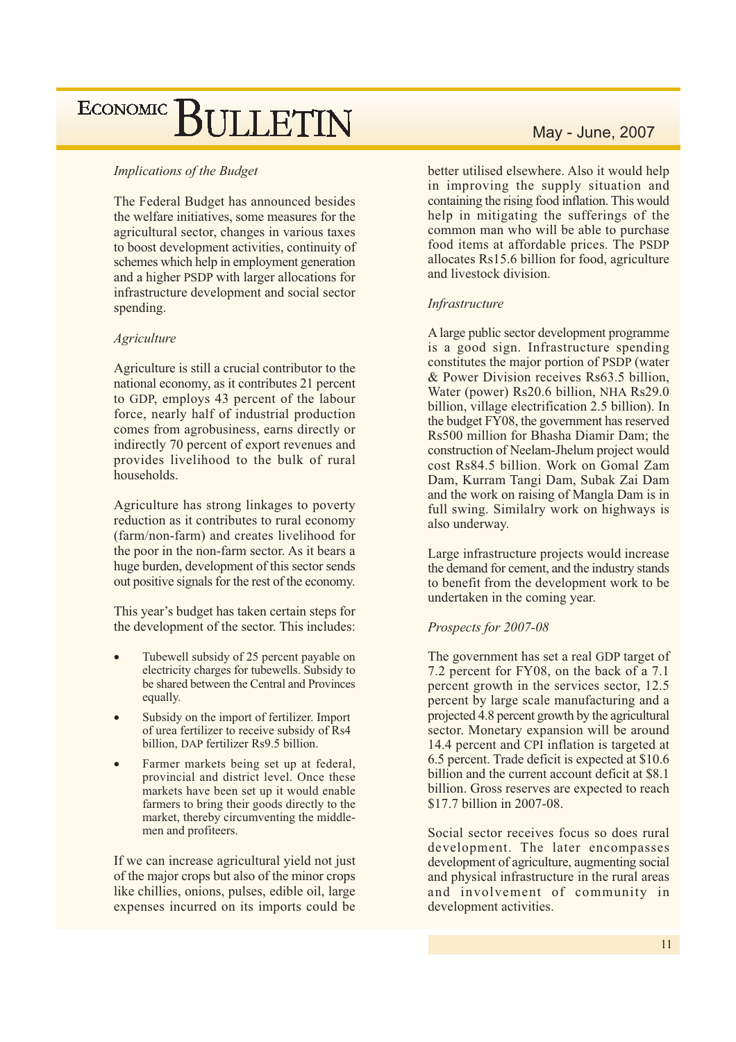#### **Implications of the Budget**

The Federal Budget has announced besides the welfare initiatives, some measures for the agricultural sector, changes in various taxes to boost development activities, continuity of schemes which help in employment generation and a higher PSDP with larger allocations for infrastructure development and social sector spending.

#### **Agriculture**

Agriculture is still a crucial contributor to the national economy, as it contributes 21 percent to GDP, employs 43 percent of the labour force, nearly half of industrial production comes from agrobusiness, earns directly or indirectly 70 percent of export revenues and provides livelihood to the bulk of rural households.

Agriculture has strong linkages to poverty reduction as it contributes to rural economy (farm/non-farm) and creates livelihood for the poor in the non-farm sector. As it bears a huge burden, development of this sector sends out positive signals for the rest of the economy.

This year's budget has taken certain steps for the development of the sector. This includes:

- Tubewell subsidy of 25 percent payable on electricity charges for tubewells. Subsidy to be shared between the Central and Provinces equally.
- Subsidy on the import of fertilizer. Import of urea fertilizer to receive subsidy of Rs4 billion, DAP fertilizer Rs9.5 billion.
- Farmer markets being set up at federal, provincial and district level. Once these markets have been set up it would enable farmers to bring their goods directly to the market, thereby circumventing the middlemen and profiteers.

If we can increase agricultural yield not just of the major crops but also of the minor crops like chillies, onions, pulses, edible oil, large expenses incurred on its imports could be

better utilised elsewhere. Also it would help in improving the supply situation and containing the rising food inflation. This would help in mitigating the sufferings of the common man who will be able to purchase food items at affordable prices. The PSDP allocates Rs15.6 billion for food, agriculture and livestock division.

#### Infrastructure

A large public sector development programme is a good sign. Infrastructure spending constitutes the major portion of PSDP (water & Power Division receives Rs63.5 billion, Water (power) Rs20.6 billion, NHA Rs29.0 billion, village electrification 2.5 billion). In the budget FY08, the government has reserved Rs500 million for Bhasha Diamir Dam; the construction of Neelam-Jhelum project would cost Rs84.5 billion. Work on Gomal Zam Dam, Kurram Tangi Dam, Subak Zai Dam and the work on raising of Mangla Dam is in full swing. Similalry work on highways is also underway.

Large infrastructure projects would increase the demand for cement, and the industry stands to benefit from the development work to be undertaken in the coming year.

#### Prospects for 2007-08

The government has set a real GDP target of 7.2 percent for FY08, on the back of a 7.1 percent growth in the services sector, 12.5 percent by large scale manufacturing and a projected 4.8 percent growth by the agricultural sector. Monetary expansion will be around 14.4 percent and CPI inflation is targeted at 6.5 percent. Trade deficit is expected at \$10.6 billion and the current account deficit at \$8.1 billion. Gross reserves are expected to reach \$17.7 billion in 2007-08.

Social sector receives focus so does rural development. The later encompasses development of agriculture, augmenting social and physical infrastructure in the rural areas and involvement of community in development activities.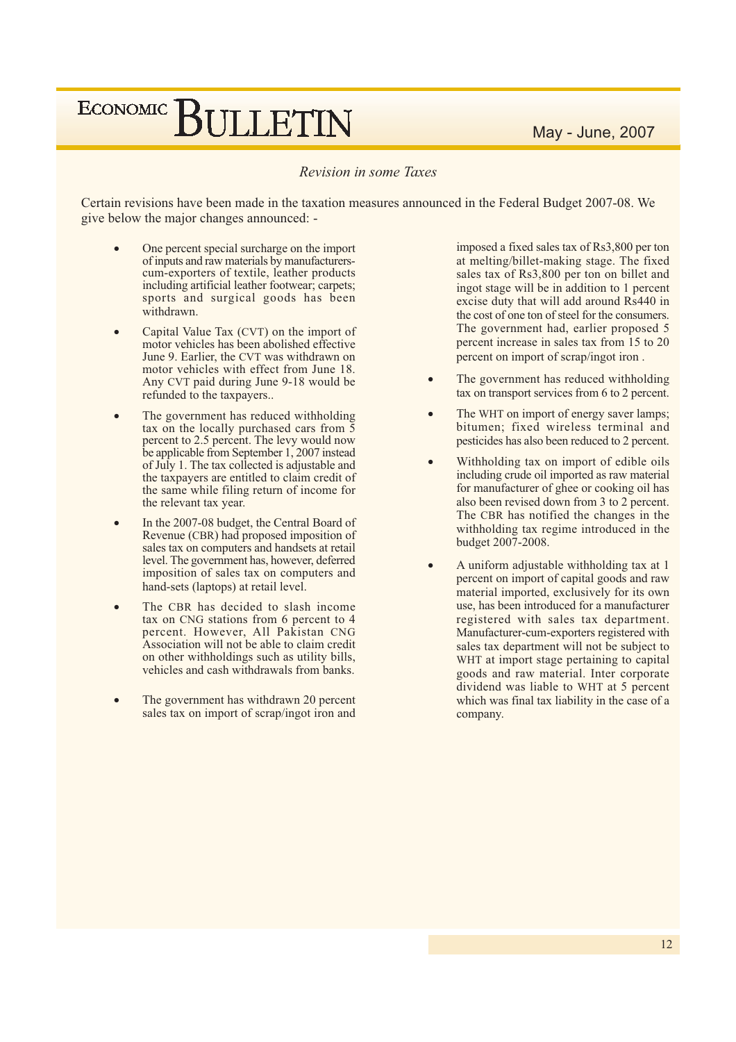### Revision in some Taxes

Certain revisions have been made in the taxation measures announced in the Federal Budget 2007-08. We give below the major changes announced: -

- One percent special surcharge on the import of inputs and raw materials by manufacturerscum-exporters of textile, leather products including artificial leather footwear; carpets; sports and surgical goods has been withdrawn.
- Capital Value Tax (CVT) on the import of motor vehicles has been abolished effective June 9. Earlier, the CVT was withdrawn on motor vehicles with effect from June 18. Any CVT paid during June 9-18 would be refunded to the taxpayers...
- The government has reduced withholding tax on the locally purchased cars from  $\overline{5}$ percent to 2.5 percent. The levy would now be applicable from September 1, 2007 instead of July 1. The tax collected is adjustable and the taxpayers are entitled to claim credit of the same while filing return of income for the relevant tax year.
- In the 2007-08 budget, the Central Board of Revenue (CBR) had proposed imposition of sales tax on computers and handsets at retail level. The government has, however, deferred imposition of sales tax on computers and hand-sets (laptops) at retail level.
- The CBR has decided to slash income tax on CNG stations from 6 percent to 4 percent. However, All Pakistan CNG Association will not be able to claim credit on other withholdings such as utility bills, vehicles and cash withdrawals from banks.
- The government has withdrawn 20 percent sales tax on import of scrap/ingot iron and

imposed a fixed sales tax of Rs3,800 per ton at melting/billet-making stage. The fixed sales tax of Rs3,800 per ton on billet and ingot stage will be in addition to 1 percent excise duty that will add around Rs440 in the cost of one ton of steel for the consumers. The government had, earlier proposed 5 percent increase in sales tax from 15 to 20 percent on import of scrap/ingot iron.

- The government has reduced withholding tax on transport services from 6 to 2 percent.
- The WHT on import of energy saver lamps; bitumen; fixed wireless terminal and pesticides has also been reduced to 2 percent.
- Withholding tax on import of edible oils including crude oil imported as raw material for manufacturer of ghee or cooking oil has also been revised down from 3 to 2 percent. The CBR has notified the changes in the withholding tax regime introduced in the budget 2007-2008.
- A uniform adjustable withholding tax at 1 percent on import of capital goods and raw material imported, exclusively for its own use, has been introduced for a manufacturer registered with sales tax department. Manufacturer-cum-exporters registered with sales tax department will not be subject to WHT at import stage pertaining to capital goods and raw material. Inter corporate dividend was liable to WHT at 5 percent which was final tax liability in the case of a company.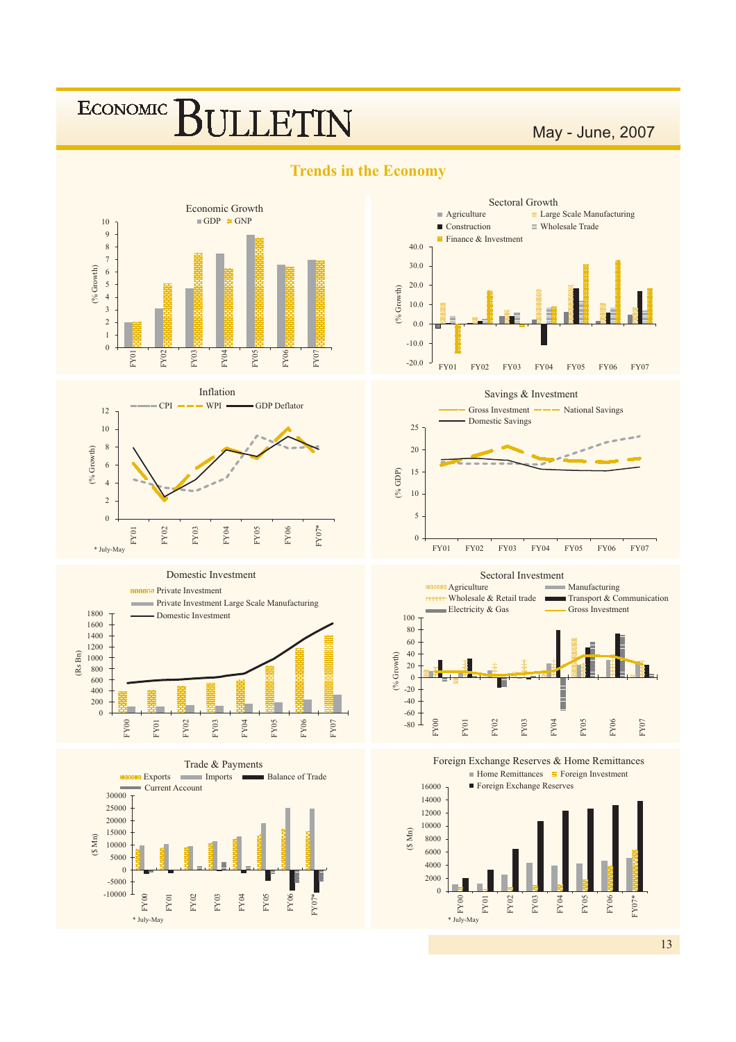## **ECONOMIC ILLETIN**

May - June, 2007



**Trends in the Economy** 



Sectoral Growth



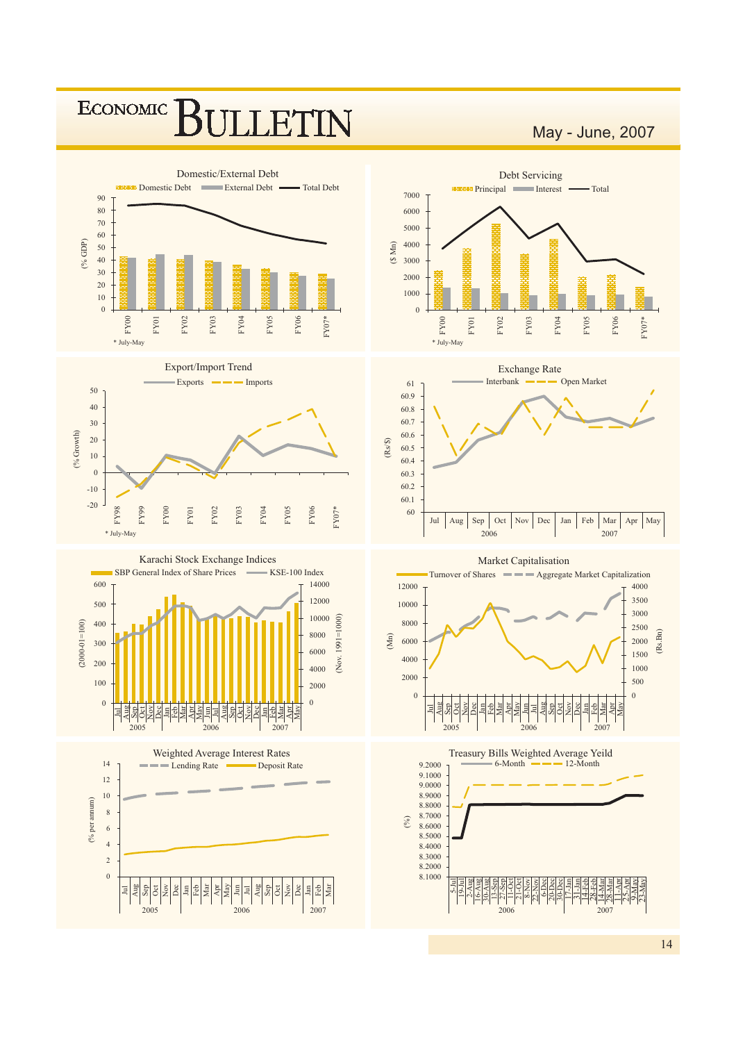

May - June, 2007

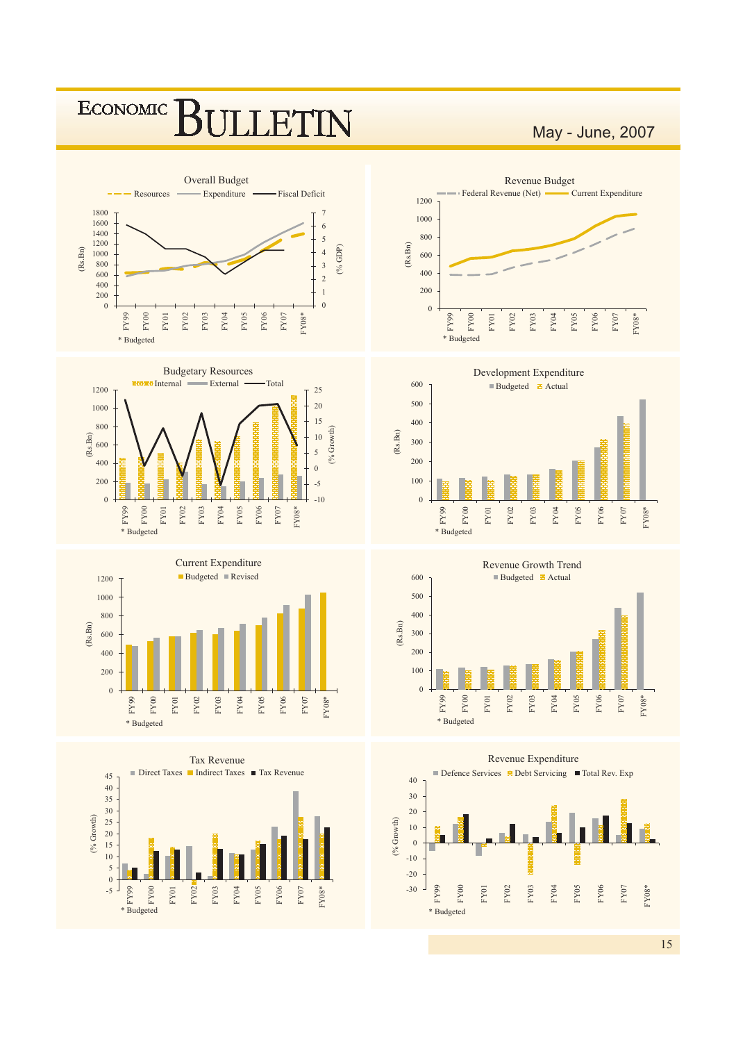

20 15 <sup>10</sup>  $\overline{5}$  $\overline{0}$  $\overline{\mathcal{L}}$ FY99  $_{\rm FY00}$ **FY01** FY02 FY03 FY04 FY05 FY06  $_{\rm FY07}$  $FY08*$ 

\* Budgeted



 $15$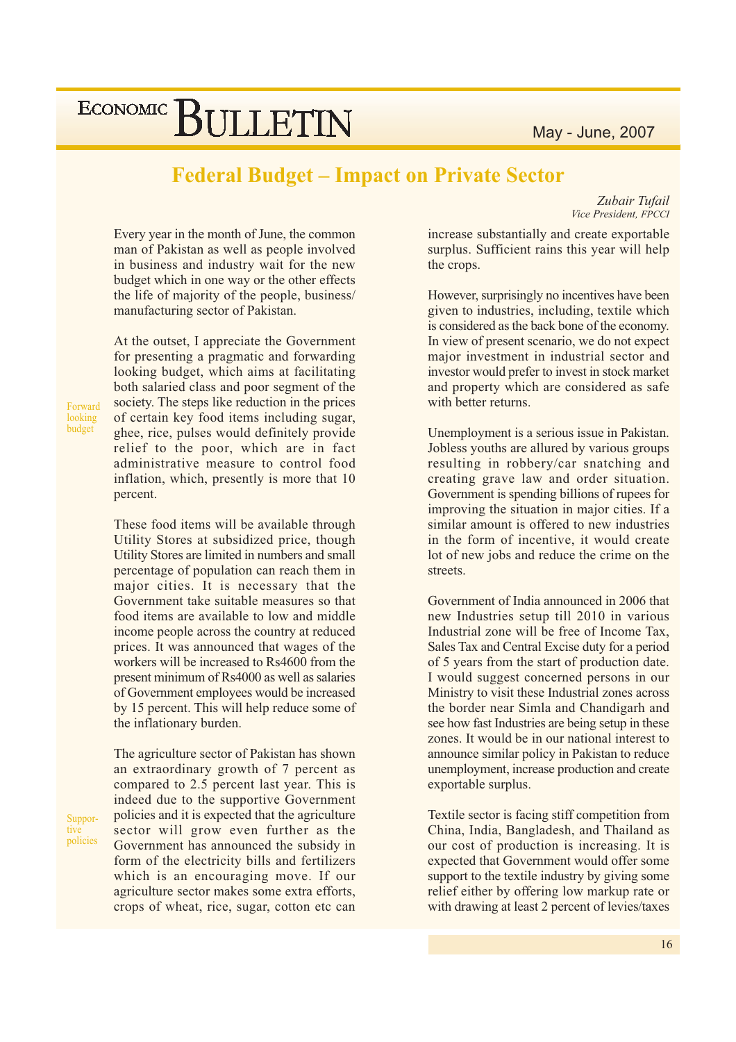## **Federal Budget – Impact on Private Sector**

Zubair Tufail Vice President, FPCCI

Every year in the month of June, the common man of Pakistan as well as people involved in business and industry wait for the new budget which in one way or the other effects the life of majority of the people, business/ manufacturing sector of Pakistan.

At the outset, I appreciate the Government for presenting a pragmatic and forwarding looking budget, which aims at facilitating both salaried class and poor segment of the society. The steps like reduction in the prices of certain key food items including sugar, ghee, rice, pulses would definitely provide relief to the poor, which are in fact administrative measure to control food inflation, which, presently is more that 10 percent.

These food items will be available through Utility Stores at subsidized price, though Utility Stores are limited in numbers and small percentage of population can reach them in major cities. It is necessary that the Government take suitable measures so that food items are available to low and middle income people across the country at reduced prices. It was announced that wages of the workers will be increased to Rs4600 from the present minimum of Rs4000 as well as salaries of Government employees would be increased by 15 percent. This will help reduce some of the inflationary burden.

The agriculture sector of Pakistan has shown an extraordinary growth of 7 percent as compared to 2.5 percent last year. This is indeed due to the supportive Government policies and it is expected that the agriculture sector will grow even further as the Government has announced the subsidy in form of the electricity bills and fertilizers which is an encouraging move. If our agriculture sector makes some extra efforts, crops of wheat, rice, sugar, cotton etc can

increase substantially and create exportable surplus. Sufficient rains this year will help the crops.

However, surprisingly no incentives have been given to industries, including, textile which is considered as the back bone of the economy. In view of present scenario, we do not expect major investment in industrial sector and investor would prefer to invest in stock market and property which are considered as safe with better returns.

Unemployment is a serious issue in Pakistan. Jobless youths are allured by various groups resulting in robbery/car snatching and creating grave law and order situation. Government is spending billions of rupees for improving the situation in major cities. If a similar amount is offered to new industries in the form of incentive, it would create lot of new jobs and reduce the crime on the streets.

Government of India announced in 2006 that new Industries setup till 2010 in various Industrial zone will be free of Income Tax. Sales Tax and Central Excise duty for a period of 5 years from the start of production date. I would suggest concerned persons in our Ministry to visit these Industrial zones across the border near Simla and Chandigarh and see how fast Industries are being setup in these zones. It would be in our national interest to announce similar policy in Pakistan to reduce unemployment, increase production and create exportable surplus.

Textile sector is facing stiff competition from China, India, Bangladesh, and Thailand as our cost of production is increasing. It is expected that Government would offer some support to the textile industry by giving some relief either by offering low markup rate or with drawing at least 2 percent of levies/taxes

Forward looking budget

Suppor-

policies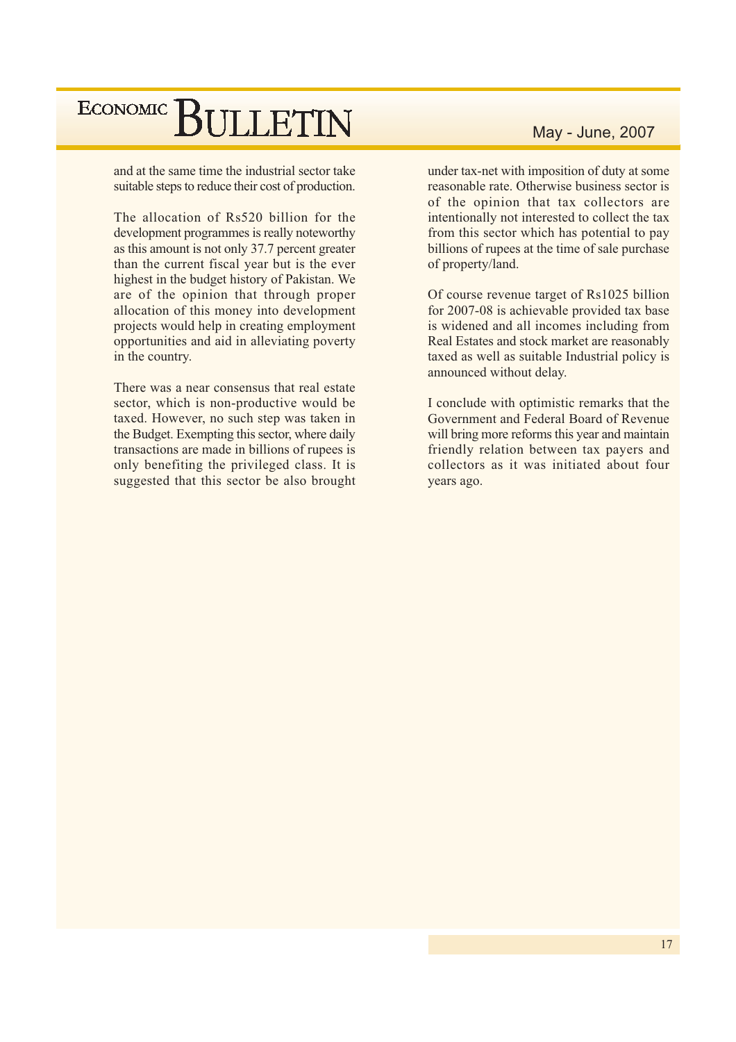and at the same time the industrial sector take suitable steps to reduce their cost of production.

The allocation of Rs520 billion for the development programmes is really noteworthy as this amount is not only 37.7 percent greater than the current fiscal year but is the ever highest in the budget history of Pakistan. We are of the opinion that through proper allocation of this money into development projects would help in creating employment opportunities and aid in alleviating poverty in the country.

There was a near consensus that real estate sector, which is non-productive would be taxed. However, no such step was taken in the Budget. Exempting this sector, where daily transactions are made in billions of rupees is only benefiting the privileged class. It is suggested that this sector be also brought

## May - June, 2007

under tax-net with imposition of duty at some reasonable rate. Otherwise business sector is of the opinion that tax collectors are intentionally not interested to collect the tax from this sector which has potential to pay billions of rupees at the time of sale purchase of property/land.

Of course revenue target of Rs1025 billion for 2007-08 is achievable provided tax base is widened and all incomes including from Real Estates and stock market are reasonably taxed as well as suitable Industrial policy is announced without delay.

I conclude with optimistic remarks that the Government and Federal Board of Revenue will bring more reforms this year and maintain friendly relation between tax payers and collectors as it was initiated about four years ago.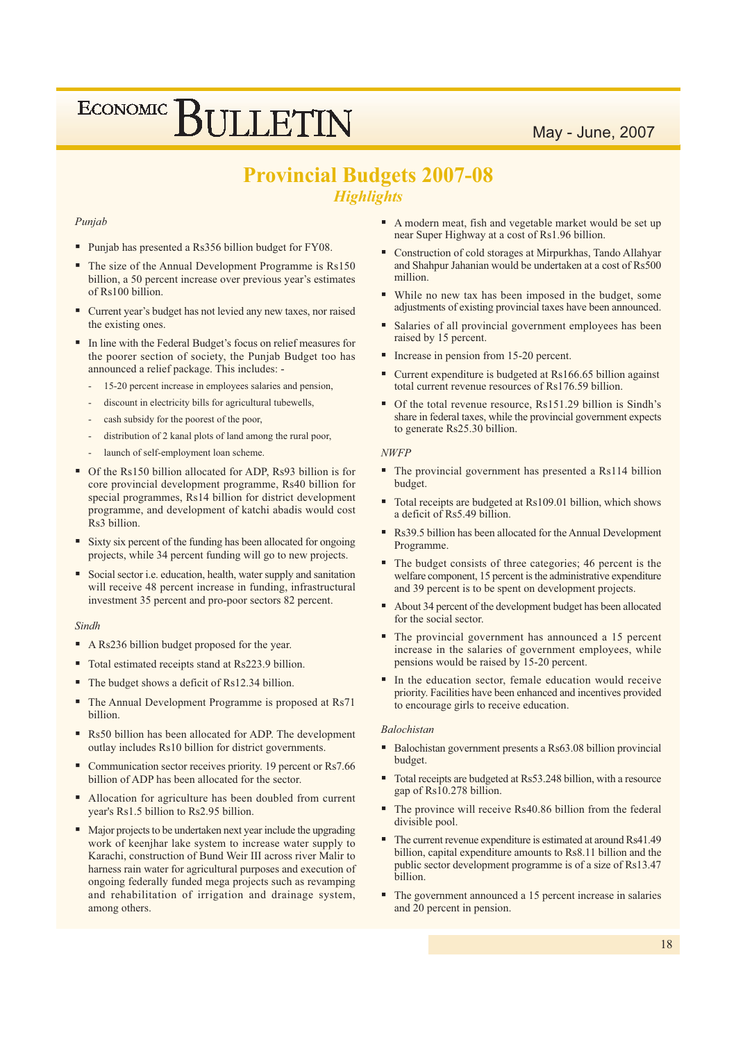## **Provincial Budgets 2007-08 Highlights**

#### Punjab

- Punjab has presented a Rs356 billion budget for FY08.
- The size of the Annual Development Programme is Rs150 billion, a 50 percent increase over previous year's estimates of Rs100 billion.
- " Current year's budget has not levied any new taxes, nor raised the existing ones.
- In line with the Federal Budget's focus on relief measures for the poorer section of society, the Punjab Budget too has announced a relief package. This includes: -
	- 15-20 percent increase in employees salaries and pension,
	- discount in electricity bills for agricultural tubewells,
	- cash subsidy for the poorest of the poor,
	- distribution of 2 kanal plots of land among the rural poor,
	- launch of self-employment loan scheme.
- Of the Rs150 billion allocated for ADP, Rs93 billion is for core provincial development programme, Rs40 billion for special programmes, Rs14 billion for district development programme, and development of katchi abadis would cost Rs3 billion.
- × Sixty six percent of the funding has been allocated for ongoing projects, while 34 percent funding will go to new projects.
- Social sector i.e. education, health, water supply and sanitation will receive 48 percent increase in funding, infrastructural investment 35 percent and pro-poor sectors 82 percent.

#### Sindh

- A Rs236 billion budget proposed for the year.
- Total estimated receipts stand at Rs223.9 billion.
- The budget shows a deficit of Rs12.34 billion.  $\blacksquare$
- The Annual Development Programme is proposed at Rs71 hillion
- Rs50 billion has been allocated for ADP. The development outlay includes Rs10 billion for district governments.
- ٠ Communication sector receives priority. 19 percent or Rs7.66 billion of ADP has been allocated for the sector.
- $\blacksquare$ Allocation for agriculture has been doubled from current year's Rs1.5 billion to Rs2.95 billion.
- Major projects to be undertaken next year include the upgrading work of keenjhar lake system to increase water supply to Karachi, construction of Bund Weir III across river Malir to harness rain water for agricultural purposes and execution of ongoing federally funded mega projects such as revamping and rehabilitation of irrigation and drainage system, among others.
- A modern meat, fish and vegetable market would be set up near Super Highway at a cost of Rs1.96 billion.
- Construction of cold storages at Mirpurkhas, Tando Allahyar  $\blacksquare$ and Shahpur Jahanian would be undertaken at a cost of Rs500 million
- While no new tax has been imposed in the budget, some ×. adjustments of existing provincial taxes have been announced.
- ×. Salaries of all provincial government employees has been raised by 15 percent.
- Increase in pension from 15-20 percent.
- Current expenditure is budgeted at Rs166.65 billion against total current revenue resources of Rs176.59 billion.
- Of the total revenue resource, Rs151.29 billion is Sindh's share in federal taxes, while the provincial government expects to generate Rs25.30 billion.

#### **NWFP**

- The provincial government has presented a Rs114 billion budget.
- Total receipts are budgeted at Rs109.01 billion, which shows a deficit of Rs5.49 billion.
- Rs39.5 billion has been allocated for the Annual Development Programme.
- The budget consists of three categories; 46 percent is the welfare component, 15 percent is the administrative expenditure and 39 percent is to be spent on development projects.
- About 34 percent of the development budget has been allocated for the social sector.
- The provincial government has announced a 15 percent increase in the salaries of government employees, while pensions would be raised by 15-20 percent.
- In the education sector, female education would receive priority. Facilities have been enhanced and incentives provided to encourage girls to receive education.

#### **Balochistan**

- Balochistan government presents a Rs63.08 billion provincial budget.
- Total receipts are budgeted at Rs53.248 billion, with a resource gap of Rs10.278 billion.
- The province will receive Rs40.86 billion from the federal divisible pool.
- The current revenue expenditure is estimated at around Rs41.49 billion, capital expenditure amounts to Rs8.11 billion and the public sector development programme is of a size of Rs13.47 billion.
- The government announced a 15 percent increase in salaries and 20 percent in pension.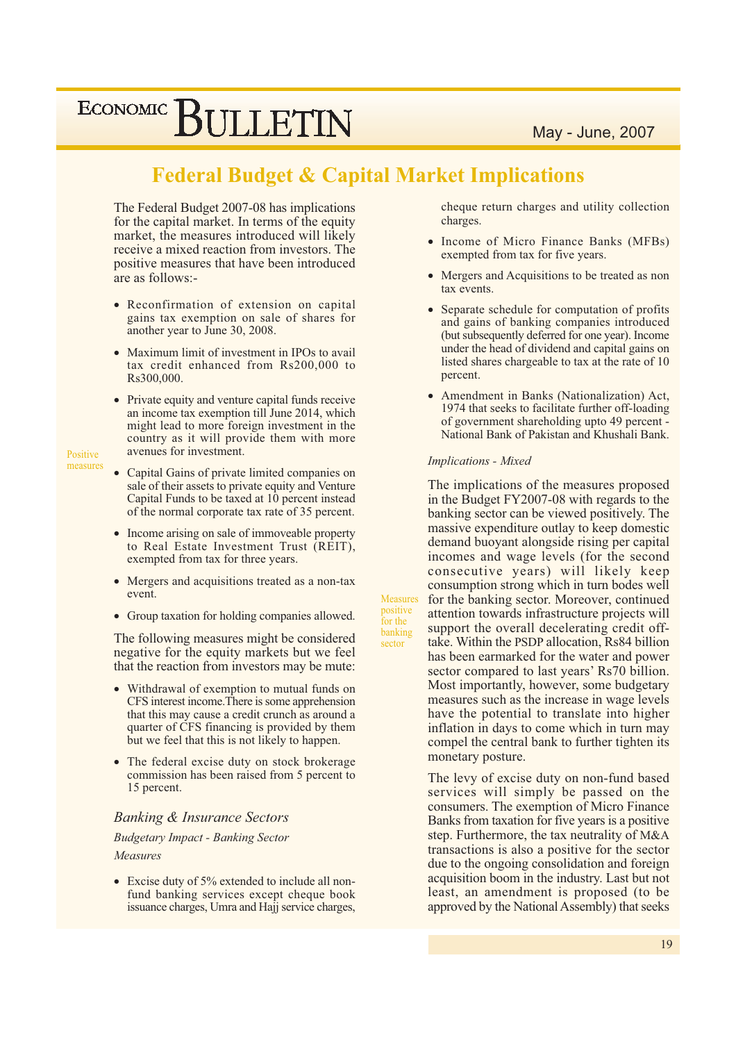## **Federal Budget & Capital Market Implications**

The Federal Budget 2007-08 has implications for the capital market. In terms of the equity market, the measures introduced will likely receive a mixed reaction from investors. The positive measures that have been introduced are as follows:-

- Reconfirmation of extension on capital gains tax exemption on sale of shares for another year to June 30, 2008.
- Maximum limit of investment in IPOs to avail tax credit enhanced from Rs200,000 to Rs300,000.
- Private equity and venture capital funds receive an income tax exemption till June 2014, which might lead to more foreign investment in the country as it will provide them with more avenues for investment.

Positive measures

- Capital Gains of private limited companies on sale of their assets to private equity and Venture Capital Funds to be taxed at 10 percent instead of the normal corporate tax rate of 35 percent.
- Income arising on sale of immoveable property to Real Estate Investment Trust (REIT), exempted from tax for three years.
- Mergers and acquisitions treated as a non-tax  $\bullet$ event.
- Group taxation for holding companies allowed.

The following measures might be considered negative for the equity markets but we feel that the reaction from investors may be mute:

- Withdrawal of exemption to mutual funds on CFS interest income. There is some apprehension that this may cause a credit crunch as around a quarter of CFS financing is provided by them but we feel that this is not likely to happen.
- The federal excise duty on stock brokerage commission has been raised from 5 percent to 15 percent.

### **Banking & Insurance Sectors**

**Budgetary Impact - Banking Sector** 

#### Measures

• Excise duty of 5% extended to include all nonfund banking services except cheque book issuance charges, Umra and Hajj service charges, cheque return charges and utility collection charges.

- Income of Micro Finance Banks (MFBs) exempted from tax for five years.
- Mergers and Acquisitions to be treated as non tax events.
- Separate schedule for computation of profits and gains of banking companies introduced (but subsequently deferred for one year). Income under the head of dividend and capital gains on listed shares chargeable to tax at the rate of 10 percent.
- Amendment in Banks (Nationalization) Act, 1974 that seeks to facilitate further off-loading of government shareholding upto 49 percent -National Bank of Pakistan and Khushali Bank.

### **Implications - Mixed**

Measures

positive

for the

banking

sector

The implications of the measures proposed in the Budget FY2007-08 with regards to the banking sector can be viewed positively. The massive expenditure outlay to keep domestic demand buoyant alongside rising per capital incomes and wage levels (for the second consecutive years) will likely keep consumption strong which in turn bodes well for the banking sector. Moreover, continued attention towards infrastructure projects will support the overall decelerating credit offtake. Within the PSDP allocation, Rs84 billion has been earmarked for the water and power sector compared to last years' Rs70 billion. Most importantly, however, some budgetary measures such as the increase in wage levels have the potential to translate into higher inflation in days to come which in turn may compel the central bank to further tighten its monetary posture.

The levy of excise duty on non-fund based services will simply be passed on the consumers. The exemption of Micro Finance Banks from taxation for five years is a positive. step. Furthermore, the tax neutrality of M&A transactions is also a positive for the sector due to the ongoing consolidation and foreign acquisition boom in the industry. Last but not least, an amendment is proposed (to be approved by the National Assembly) that seeks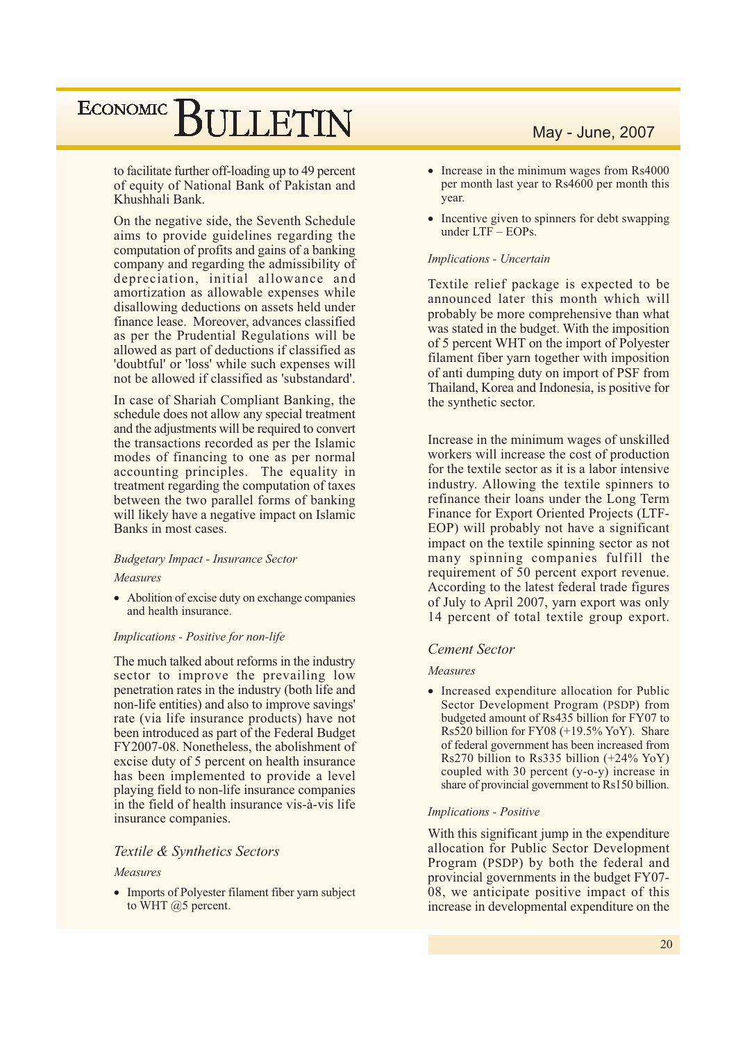to facilitate further off-loading up to 49 percent of equity of National Bank of Pakistan and Khushhali Bank.

On the negative side, the Seventh Schedule aims to provide guidelines regarding the computation of profits and gains of a banking company and regarding the admissibility of depreciation, initial allowance and amortization as allowable expenses while disallowing deductions on assets held under finance lease. Moreover, advances classified as per the Prudential Regulations will be allowed as part of deductions if classified as 'doubtful' or 'loss' while such expenses will not be allowed if classified as 'substandard'.

In case of Shariah Compliant Banking, the schedule does not allow any special treatment and the adjustments will be required to convert the transactions recorded as per the Islamic modes of financing to one as per normal accounting principles. The equality in treatment regarding the computation of taxes between the two parallel forms of banking will likely have a negative impact on Islamic Banks in most cases.

#### **Budgetary Impact - Insurance Sector**

#### Measures

• Abolition of excise duty on exchange companies and health insurance.

#### Implications - Positive for non-life

The much talked about reforms in the industry sector to improve the prevailing low penetration rates in the industry (both life and non-life entities) and also to improve savings' rate (via life insurance products) have not been introduced as part of the Federal Budget FY2007-08. Nonetheless, the abolishment of excise duty of 5 percent on health insurance has been implemented to provide a level playing field to non-life insurance companies in the field of health insurance vis-à-vis life insurance companies.

#### Textile & Synthetics Sectors

#### Measures

• Imports of Polyester filament fiber varn subject to WHT  $@5$  percent.

## May - June, 2007

- $\bullet$  Increase in the minimum wages from Rs4000 per month last year to Rs4600 per month this year.
- Incentive given to spinners for debt swapping under LTF - EOPs.

#### Implications - Uncertain

Textile relief package is expected to be announced later this month which will probably be more comprehensive than what was stated in the budget. With the imposition of 5 percent WHT on the import of Polyester filament fiber yarn together with imposition of anti-dumping duty on import of PSF from Thailand, Korea and Indonesia, is positive for the synthetic sector.

Increase in the minimum wages of unskilled workers will increase the cost of production for the textile sector as it is a labor intensive industry. Allowing the textile spinners to refinance their loans under the Long Term Finance for Export Oriented Projects (LTF-EOP) will probably not have a significant impact on the textile spinning sector as not many spinning companies fulfill the requirement of 50 percent export revenue. According to the latest federal trade figures of July to April 2007, yarn export was only 14 percent of total textile group export.

#### **Cement Sector**

#### Measures

• Increased expenditure allocation for Public Sector Development Program (PSDP) from budgeted amount of Rs435 billion for FY07 to Rs520 billion for FY08  $(+19.5\%$  YoY). Share of federal government has been increased from Rs270 billion to Rs335 billion  $(+24\%$  YoY) coupled with 30 percent  $(y-o-y)$  increase in share of provincial government to Rs150 billion.

#### **Implications - Positive**

With this significant jump in the expenditure allocation for Public Sector Development Program (PSDP) by both the federal and provincial governments in the budget FY07-08, we anticipate positive impact of this increase in developmental expenditure on the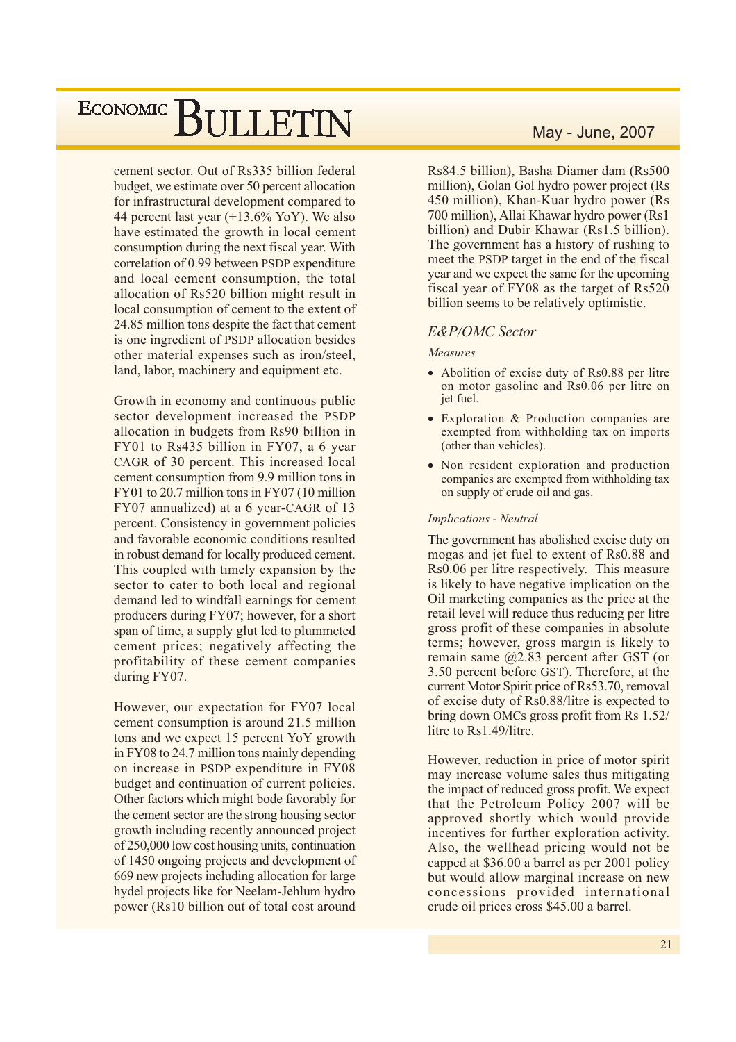cement sector. Out of Rs335 billion federal budget, we estimate over 50 percent allocation for infrastructural development compared to 44 percent last year  $(+13.6\%$  YoY). We also have estimated the growth in local cement consumption during the next fiscal year. With correlation of 0.99 between PSDP expenditure and local cement consumption, the total allocation of Rs520 billion might result in local consumption of cement to the extent of 24.85 million tons despite the fact that cement is one ingredient of PSDP allocation besides other material expenses such as iron/steel, land, labor, machinery and equipment etc.

Growth in economy and continuous public sector development increased the PSDP allocation in budgets from Rs90 billion in FY01 to Rs435 billion in FY07, a 6 year CAGR of 30 percent. This increased local cement consumption from 9.9 million tons in FY01 to 20.7 million tons in FY07 (10 million FY07 annualized) at a 6 year-CAGR of 13 percent. Consistency in government policies and favorable economic conditions resulted in robust demand for locally produced cement. This coupled with timely expansion by the sector to cater to both local and regional demand led to windfall earnings for cement producers during FY07; however, for a short span of time, a supply glut led to plummeted cement prices; negatively affecting the profitability of these cement companies during FY07.

However, our expectation for FY07 local cement consumption is around 21.5 million tons and we expect 15 percent YoY growth in FY08 to 24.7 million tons mainly depending on increase in PSDP expenditure in FY08 budget and continuation of current policies. Other factors which might bode favorably for the cement sector are the strong housing sector growth including recently announced project of 250,000 low cost housing units, continuation of 1450 ongoing projects and development of 669 new projects including allocation for large hydel projects like for Neelam-Jehlum hydro power (Rs10 billion out of total cost around

## May - June, 2007

Rs84.5 billion), Basha Diamer dam (Rs500 million), Golan Gol hydro power project (Rs 450 million), Khan-Kuar hydro power (Rs) 700 million), Allai Khawar hydro power (Rs1) billion) and Dubir Khawar (Rs1.5 billion). The government has a history of rushing to meet the PSDP target in the end of the fiscal year and we expect the same for the upcoming fiscal year of FY08 as the target of Rs520 billion seems to be relatively optimistic.

### **E&P/OMC Sector**

#### Measures

- Abolition of excise duty of Rs0.88 per litre on motor gasoline and Rs0.06 per litre on jet fuel.
- Exploration & Production companies are exempted from withholding tax on imports (other than vehicles).
- Non resident exploration and production companies are exempted from withholding tax on supply of crude oil and gas.

#### **Implications - Neutral**

The government has abolished excise duty on mogas and jet fuel to extent of Rs0.88 and Rs0.06 per litre respectively. This measure is likely to have negative implication on the Oil marketing companies as the price at the retail level will reduce thus reducing per litre gross profit of these companies in absolute terms; however, gross margin is likely to remain same  $(22.83)$  percent after GST (or 3.50 percent before GST). Therefore, at the current Motor Spirit price of Rs53.70, removal of excise duty of Rs0.88/litre is expected to bring down OMCs gross profit from Rs 1.52/ litre to Rs1.49/litre.

However, reduction in price of motor spirit may increase volume sales thus mitigating the impact of reduced gross profit. We expect that the Petroleum Policy 2007 will be approved shortly which would provide incentives for further exploration activity. Also, the wellhead pricing would not be capped at \$36.00 a barrel as per 2001 policy but would allow marginal increase on new concessions provided international crude oil prices cross \$45.00 a barrel.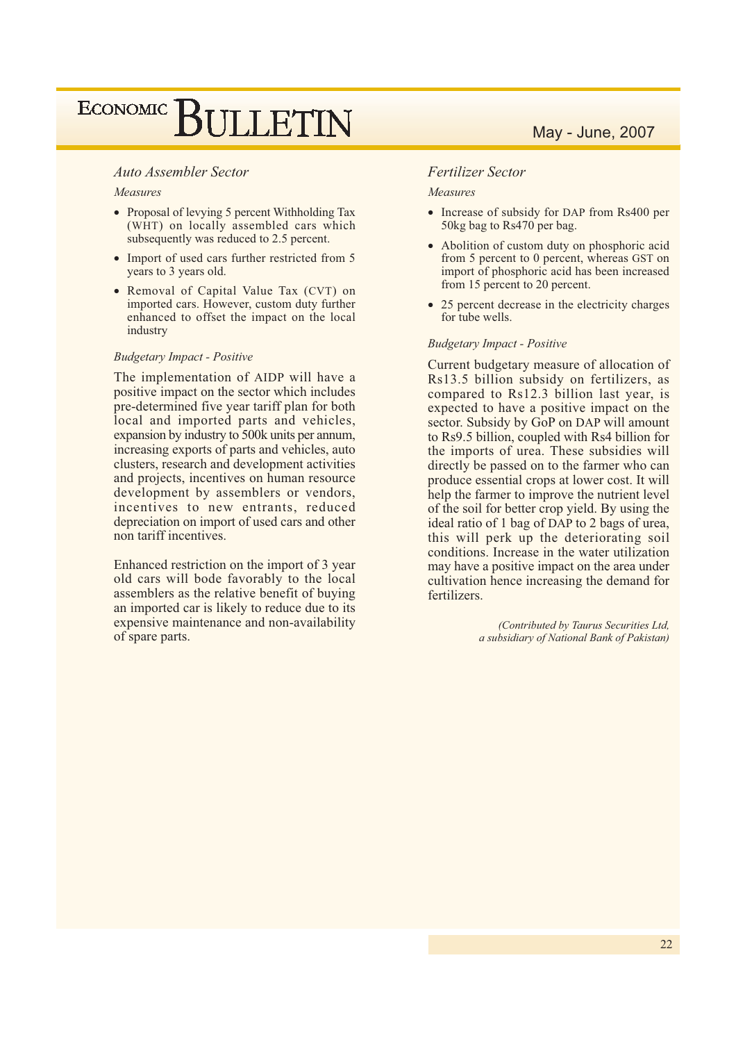### **Auto Assembler Sector**

#### Measures

- Proposal of levying 5 percent Withholding Tax (WHT) on locally assembled cars which subsequently was reduced to 2.5 percent.
- Import of used cars further restricted from 5 years to 3 years old.
- Removal of Capital Value Tax (CVT) on imported cars. However, custom duty further enhanced to offset the impact on the local industry

#### **Budgetary Impact - Positive**

The implementation of AIDP will have a positive impact on the sector which includes pre-determined five year tariff plan for both local and imported parts and vehicles, expansion by industry to 500k units per annum, increasing exports of parts and vehicles, auto clusters, research and development activities and projects, incentives on human resource development by assemblers or vendors, incentives to new entrants, reduced depreciation on import of used cars and other non tariff incentives.

Enhanced restriction on the import of 3 year old cars will bode favorably to the local assemblers as the relative benefit of buying an imported car is likely to reduce due to its expensive maintenance and non-availability of spare parts.

## May - June, 2007

#### **Fertilizer Sector**

#### Measures

- Increase of subsidy for DAP from Rs400 per 50kg bag to Rs470 per bag.
- Abolition of custom duty on phosphoric acid from 5 percent to 0 percent, whereas GST on import of phosphoric acid has been increased from 15 percent to 20 percent.
- 25 percent decrease in the electricity charges for tube wells.

#### **Budgetary Impact - Positive**

Current budgetary measure of allocation of Rs13.5 billion subsidy on fertilizers, as compared to Rs12.3 billion last year, is expected to have a positive impact on the sector. Subsidy by GoP on DAP will amount to Rs9.5 billion, coupled with Rs4 billion for the imports of urea. These subsidies will directly be passed on to the farmer who can produce essential crops at lower cost. It will help the farmer to improve the nutrient level of the soil for better crop yield. By using the ideal ratio of 1 bag of DAP to 2 bags of urea, this will perk up the deteriorating soil conditions. Increase in the water utilization may have a positive impact on the area under cultivation hence increasing the demand for fertilizers.

> (Contributed by Taurus Securities Ltd, a subsidiary of National Bank of Pakistan)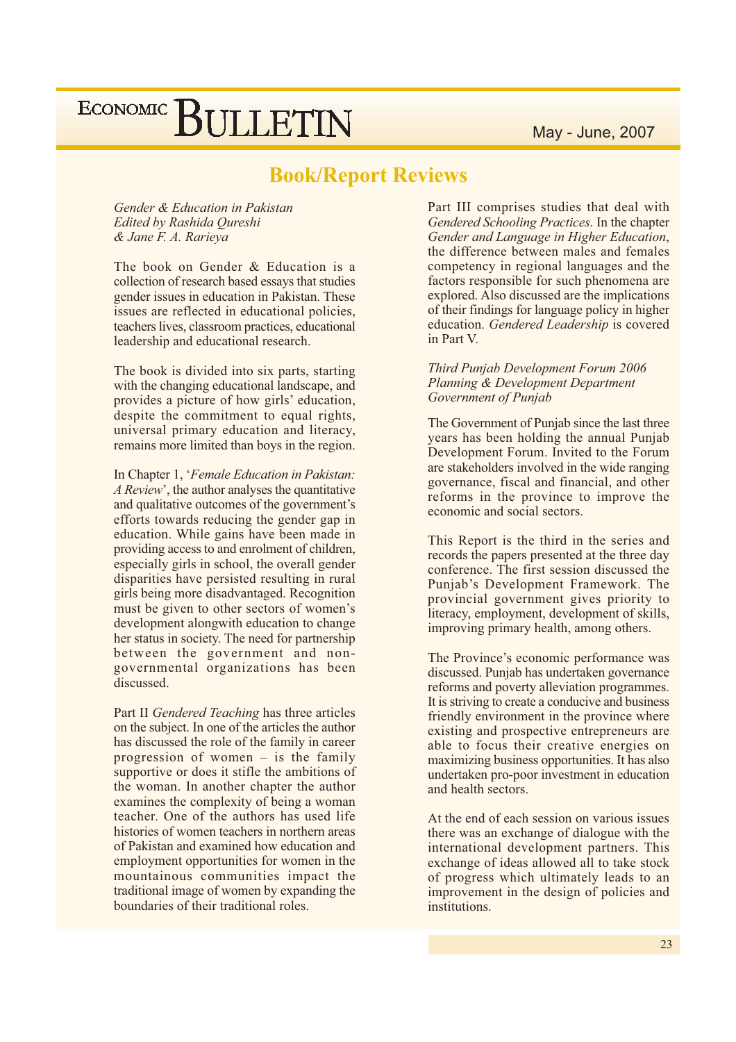## **Book/Report Reviews**

Gender & Education in Pakistan Edited by Rashida Oureshi & Jane F. A. Rarieya

The book on Gender & Education is a collection of research based essays that studies gender issues in education in Pakistan. These issues are reflected in educational policies. teachers lives, classroom practices, educational leadership and educational research.

The book is divided into six parts, starting with the changing educational landscape, and provides a picture of how girls' education, despite the commitment to equal rights. universal primary education and literacy. remains more limited than boys in the region.

In Chapter 1, 'Female Education in Pakistan: A Review', the author analyses the quantitative and qualitative outcomes of the government's efforts towards reducing the gender gap in education. While gains have been made in providing access to and enrolment of children, especially girls in school, the overall gender disparities have persisted resulting in rural girls being more disadvantaged. Recognition must be given to other sectors of women's development alongwith education to change her status in society. The need for partnership between the government and nongovernmental organizations has been discussed.

Part II Gendered Teaching has three articles on the subject. In one of the articles the author has discussed the role of the family in career progression of women  $-$  is the family supportive or does it stifle the ambitions of the woman. In another chapter the author examines the complexity of being a woman teacher. One of the authors has used life histories of women teachers in northern areas of Pakistan and examined how education and employment opportunities for women in the mountainous communities impact the traditional image of women by expanding the boundaries of their traditional roles.

Part III comprises studies that deal with Gendered Schooling Practices. In the chapter Gender and Language in Higher Education, the difference between males and females competency in regional languages and the factors responsible for such phenomena are explored. Also discussed are the implications of their findings for language policy in higher education. Gendered Leadership is covered in Part V.

#### Third Punjab Development Forum 2006 Planning & Development Department Government of Punjab

The Government of Punjab since the last three years has been holding the annual Punjab Development Forum. Invited to the Forum are stakeholders involved in the wide ranging governance, fiscal and financial, and other reforms in the province to improve the economic and social sectors.

This Report is the third in the series and records the papers presented at the three day conference. The first session discussed the Punjab's Development Framework. The provincial government gives priority to literacy, employment, development of skills, improving primary health, among others.

The Province's economic performance was discussed. Punjab has undertaken governance reforms and poverty alleviation programmes. It is striving to create a conducive and business friendly environment in the province where existing and prospective entrepreneurs are able to focus their creative energies on maximizing business opportunities. It has also undertaken pro-poor investment in education and health sectors.

At the end of each session on various issues there was an exchange of dialogue with the international development partners. This exchange of ideas allowed all to take stock of progress which ultimately leads to an improvement in the design of policies and institutions.